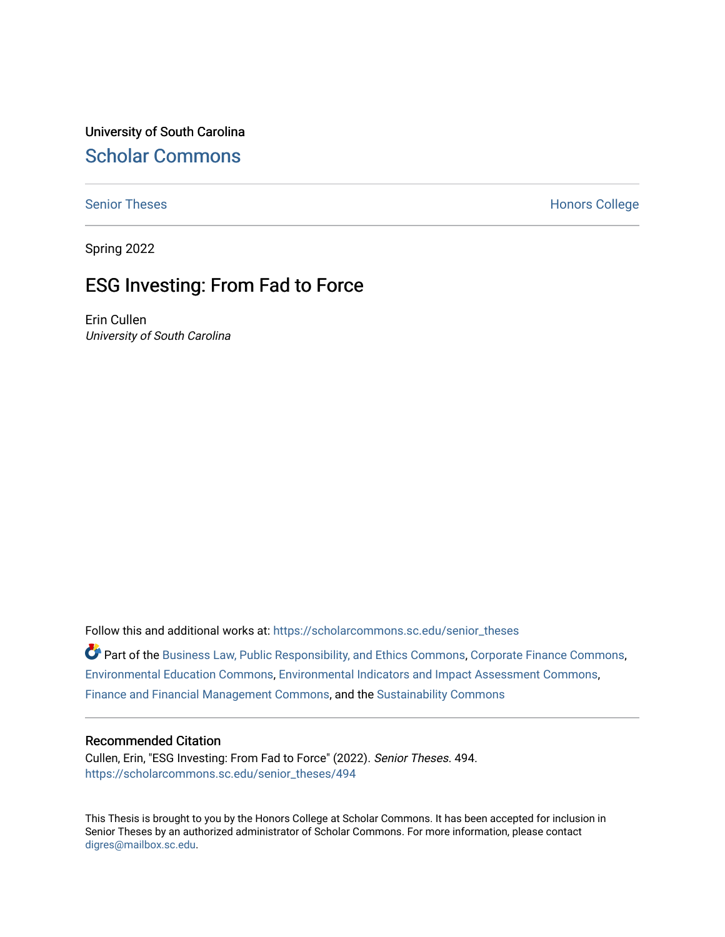University of South Carolina [Scholar Commons](https://scholarcommons.sc.edu/) 

[Senior Theses](https://scholarcommons.sc.edu/senior_theses) **Honors College** Honors College

Spring 2022

# ESG Investing: From Fad to Force

Erin Cullen University of South Carolina

Follow this and additional works at: [https://scholarcommons.sc.edu/senior\\_theses](https://scholarcommons.sc.edu/senior_theses?utm_source=scholarcommons.sc.edu%2Fsenior_theses%2F494&utm_medium=PDF&utm_campaign=PDFCoverPages) 

Part of the [Business Law, Public Responsibility, and Ethics Commons](http://network.bepress.com/hgg/discipline/628?utm_source=scholarcommons.sc.edu%2Fsenior_theses%2F494&utm_medium=PDF&utm_campaign=PDFCoverPages), [Corporate Finance Commons,](http://network.bepress.com/hgg/discipline/629?utm_source=scholarcommons.sc.edu%2Fsenior_theses%2F494&utm_medium=PDF&utm_campaign=PDFCoverPages) [Environmental Education Commons](http://network.bepress.com/hgg/discipline/1305?utm_source=scholarcommons.sc.edu%2Fsenior_theses%2F494&utm_medium=PDF&utm_campaign=PDFCoverPages), [Environmental Indicators and Impact Assessment Commons](http://network.bepress.com/hgg/discipline/1015?utm_source=scholarcommons.sc.edu%2Fsenior_theses%2F494&utm_medium=PDF&utm_campaign=PDFCoverPages), [Finance and Financial Management Commons](http://network.bepress.com/hgg/discipline/631?utm_source=scholarcommons.sc.edu%2Fsenior_theses%2F494&utm_medium=PDF&utm_campaign=PDFCoverPages), and the [Sustainability Commons](http://network.bepress.com/hgg/discipline/1031?utm_source=scholarcommons.sc.edu%2Fsenior_theses%2F494&utm_medium=PDF&utm_campaign=PDFCoverPages) 

#### Recommended Citation

Cullen, Erin, "ESG Investing: From Fad to Force" (2022). Senior Theses. 494. [https://scholarcommons.sc.edu/senior\\_theses/494](https://scholarcommons.sc.edu/senior_theses/494?utm_source=scholarcommons.sc.edu%2Fsenior_theses%2F494&utm_medium=PDF&utm_campaign=PDFCoverPages) 

This Thesis is brought to you by the Honors College at Scholar Commons. It has been accepted for inclusion in Senior Theses by an authorized administrator of Scholar Commons. For more information, please contact [digres@mailbox.sc.edu](mailto:digres@mailbox.sc.edu).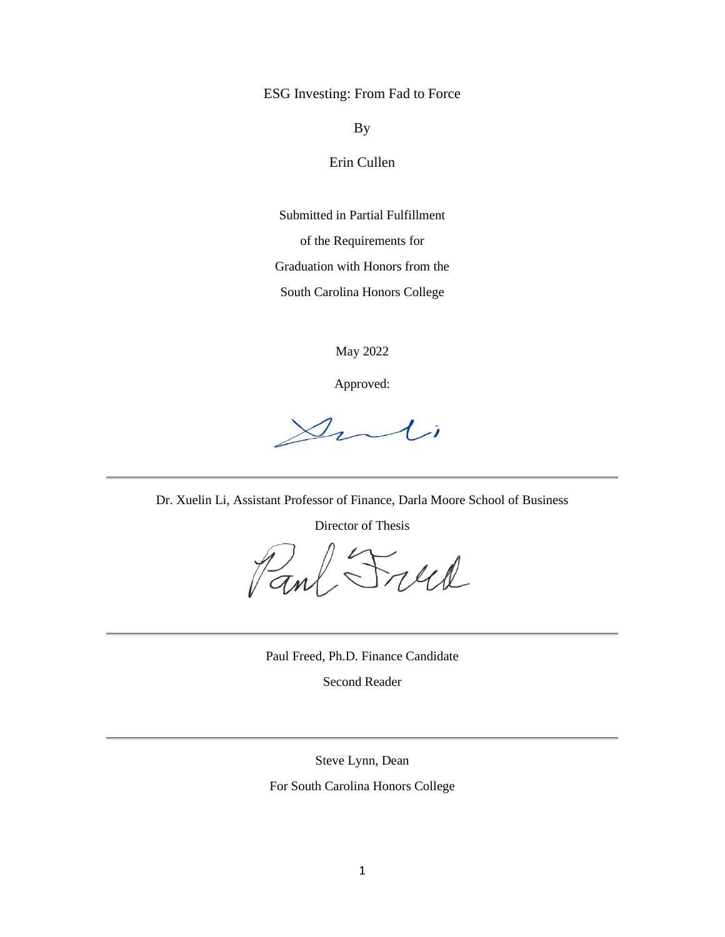ESG Investing: From Fad to Force

By

Erin Cullen

Submitted in Partial Fulfillment of the Requirements for Graduation with Honors from the

South Carolina Honors College

May 2022

Approved:

 $\mathcal{D}_{\boldsymbol{\ell}}$  $\mathcal{A}$  i

Dr. Xuelin Li, Assistant Professor of Finance, Darla Moore School of Business

Director of Thesis

1)<br>anl Freed

Paul Freed, Ph.D. Finance Candidate

Second Reader

Steve Lynn, Dean

For South Carolina Honors College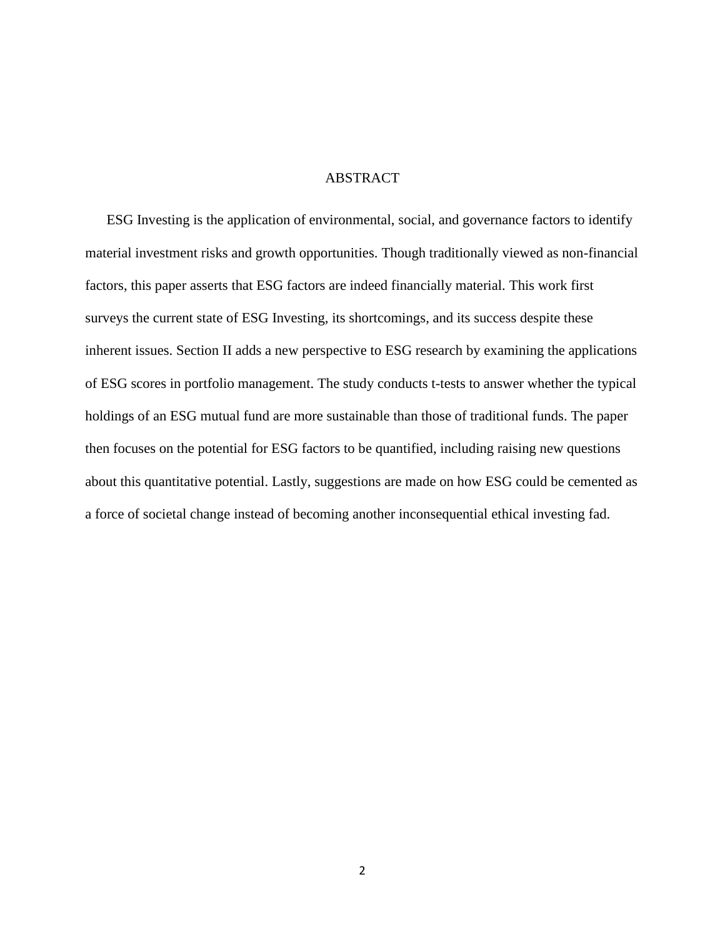## **ABSTRACT**

ESG Investing is the application of environmental, social, and governance factors to identify material investment risks and growth opportunities. Though traditionally viewed as non-financial factors, this paper asserts that ESG factors are indeed financially material. This work first surveys the current state of ESG Investing, its shortcomings, and its success despite these inherent issues. Section II adds a new perspective to ESG research by examining the applications of ESG scores in portfolio management. The study conducts t-tests to answer whether the typical holdings of an ESG mutual fund are more sustainable than those of traditional funds. The paper then focuses on the potential for ESG factors to be quantified, including raising new questions about this quantitative potential. Lastly, suggestions are made on how ESG could be cemented as a force of societal change instead of becoming another inconsequential ethical investing fad.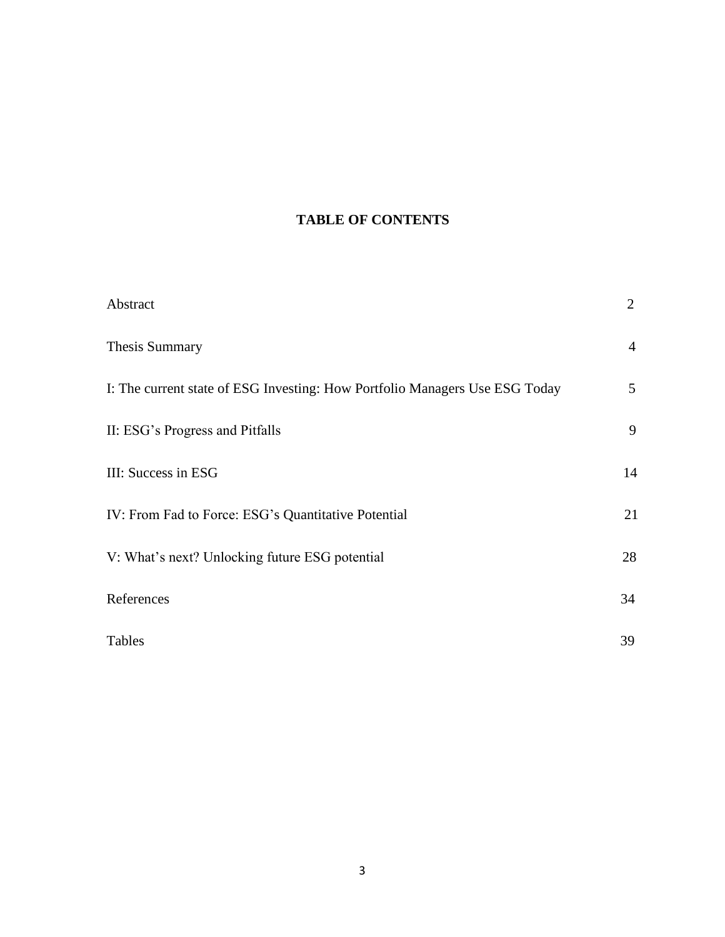# **TABLE OF CONTENTS**

| Abstract                                                                    | $\overline{2}$ |
|-----------------------------------------------------------------------------|----------------|
| <b>Thesis Summary</b>                                                       | $\overline{4}$ |
| I: The current state of ESG Investing: How Portfolio Managers Use ESG Today | 5              |
| II: ESG's Progress and Pitfalls                                             | 9              |
| III: Success in ESG                                                         | 14             |
| IV: From Fad to Force: ESG's Quantitative Potential                         | 21             |
| V: What's next? Unlocking future ESG potential                              | 28             |
| References                                                                  | 34             |
| Tables                                                                      | 39             |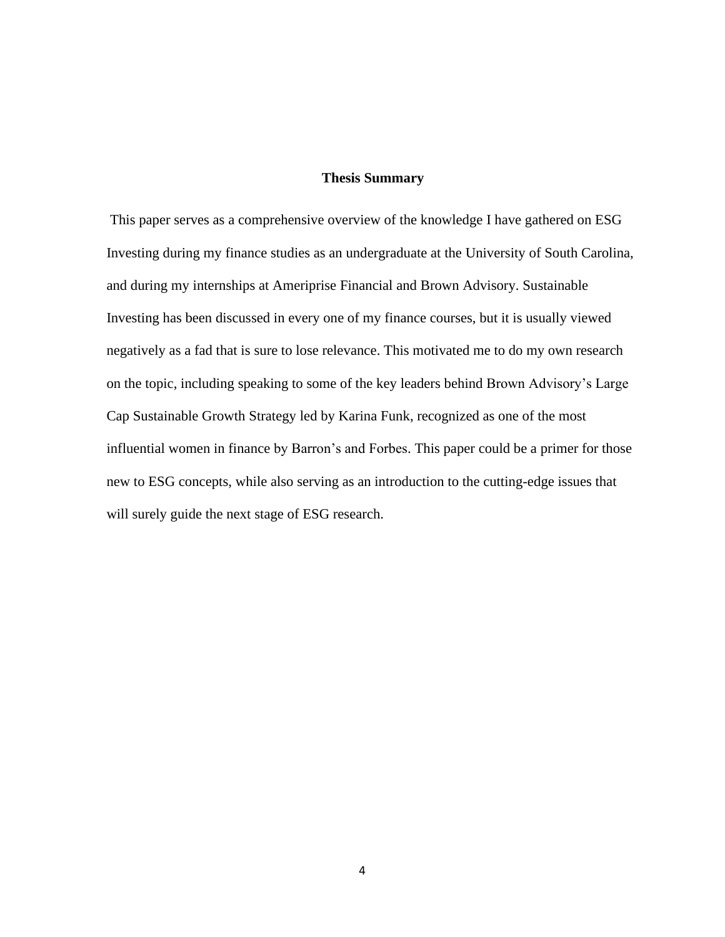### **Thesis Summary**

This paper serves as a comprehensive overview of the knowledge I have gathered on ESG Investing during my finance studies as an undergraduate at the University of South Carolina, and during my internships at Ameriprise Financial and Brown Advisory. Sustainable Investing has been discussed in every one of my finance courses, but it is usually viewed negatively as a fad that is sure to lose relevance. This motivated me to do my own research on the topic, including speaking to some of the key leaders behind Brown Advisory's Large Cap Sustainable Growth Strategy led by Karina Funk, recognized as one of the most influential women in finance by Barron's and Forbes. This paper could be a primer for those new to ESG concepts, while also serving as an introduction to the cutting-edge issues that will surely guide the next stage of ESG research.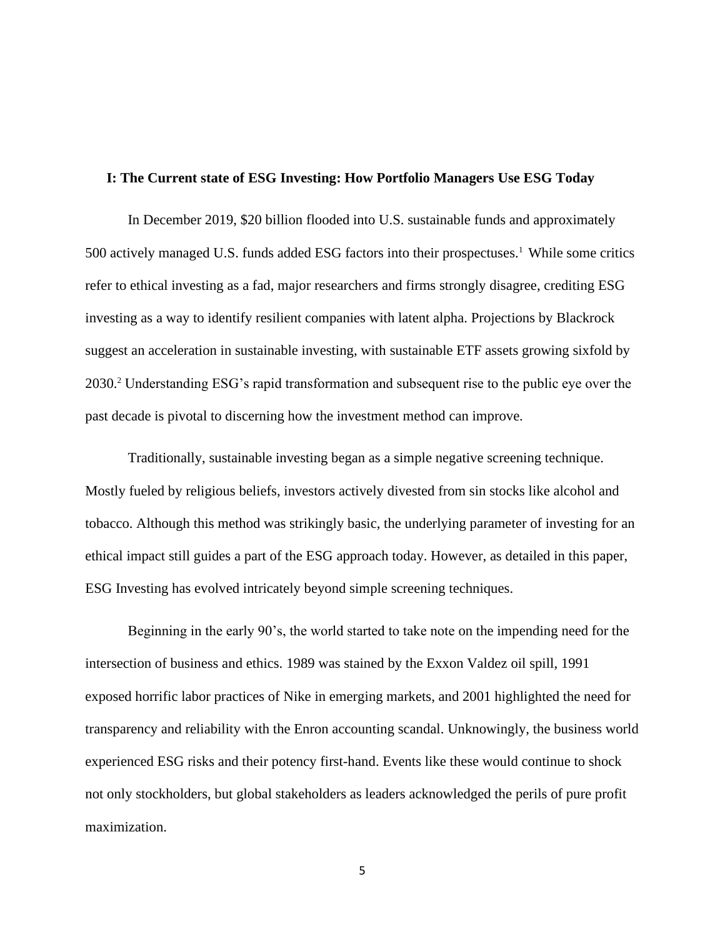### **I: The Current state of ESG Investing: How Portfolio Managers Use ESG Today**

In December 2019, \$20 billion flooded into U.S. sustainable funds and approximately 500 actively managed U.S. funds added ESG factors into their prospectuses.<sup>1</sup> While some critics refer to ethical investing as a fad, major researchers and firms strongly disagree, crediting ESG investing as a way to identify resilient companies with latent alpha. Projections by Blackrock suggest an acceleration in sustainable investing, with sustainable ETF assets growing sixfold by 2030.<sup>2</sup> Understanding ESG's rapid transformation and subsequent rise to the public eye over the past decade is pivotal to discerning how the investment method can improve.

Traditionally, sustainable investing began as a simple negative screening technique. Mostly fueled by religious beliefs, investors actively divested from sin stocks like alcohol and tobacco. Although this method was strikingly basic, the underlying parameter of investing for an ethical impact still guides a part of the ESG approach today. However, as detailed in this paper, ESG Investing has evolved intricately beyond simple screening techniques.

Beginning in the early 90's, the world started to take note on the impending need for the intersection of business and ethics. 1989 was stained by the Exxon Valdez oil spill, 1991 exposed horrific labor practices of Nike in emerging markets, and 2001 highlighted the need for transparency and reliability with the Enron accounting scandal. Unknowingly, the business world experienced ESG risks and their potency first-hand. Events like these would continue to shock not only stockholders, but global stakeholders as leaders acknowledged the perils of pure profit maximization.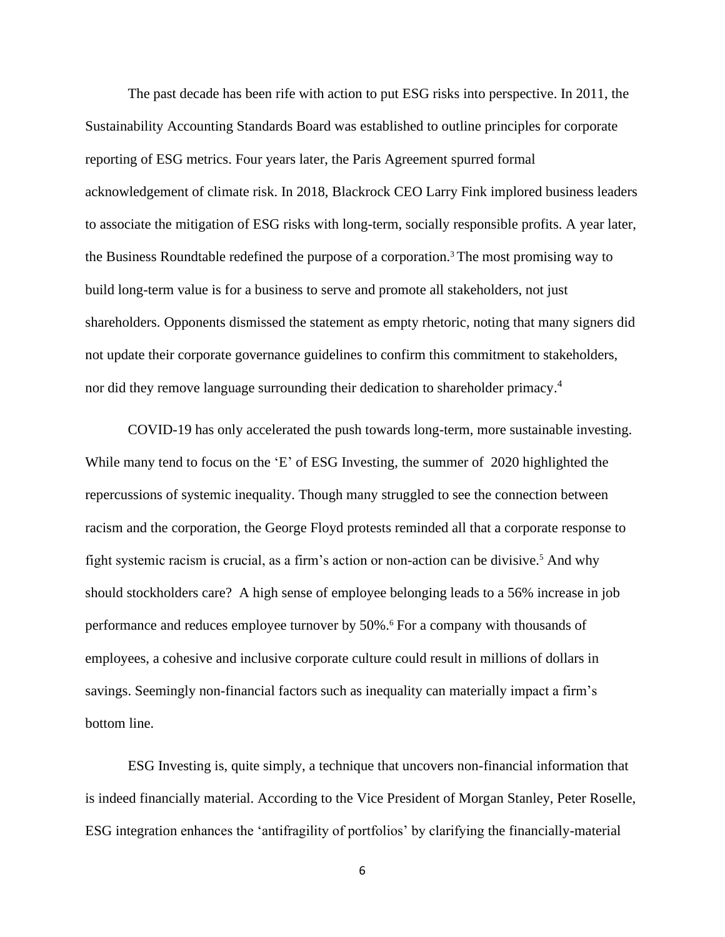The past decade has been rife with action to put ESG risks into perspective. In 2011, the Sustainability Accounting Standards Board was established to outline principles for corporate reporting of ESG metrics. Four years later, the Paris Agreement spurred formal acknowledgement of climate risk. In 2018, Blackrock CEO Larry Fink implored business leaders to associate the mitigation of ESG risks with long-term, socially responsible profits. A year later, the Business Roundtable redefined the purpose of a corporation. <sup>3</sup> The most promising way to build long-term value is for a business to serve and promote all stakeholders, not just shareholders. Opponents dismissed the statement as empty rhetoric, noting that many signers did not update their corporate governance guidelines to confirm this commitment to stakeholders, nor did they remove language surrounding their dedication to shareholder primacy. 4

COVID-19 has only accelerated the push towards long-term, more sustainable investing. While many tend to focus on the 'E' of ESG Investing, the summer of 2020 highlighted the repercussions of systemic inequality. Though many struggled to see the connection between racism and the corporation, the George Floyd protests reminded all that a corporate response to fight systemic racism is crucial, as a firm's action or non-action can be divisive.<sup>5</sup> And why should stockholders care? A high sense of employee belonging leads to a 56% increase in job performance and reduces employee turnover by 50%. <sup>6</sup> For a company with thousands of employees, a cohesive and inclusive corporate culture could result in millions of dollars in savings. Seemingly non-financial factors such as inequality can materially impact a firm's bottom line.

ESG Investing is, quite simply, a technique that uncovers non-financial information that is indeed financially material. According to the Vice President of Morgan Stanley, Peter Roselle, ESG integration enhances the 'antifragility of portfolios' by clarifying the financially-material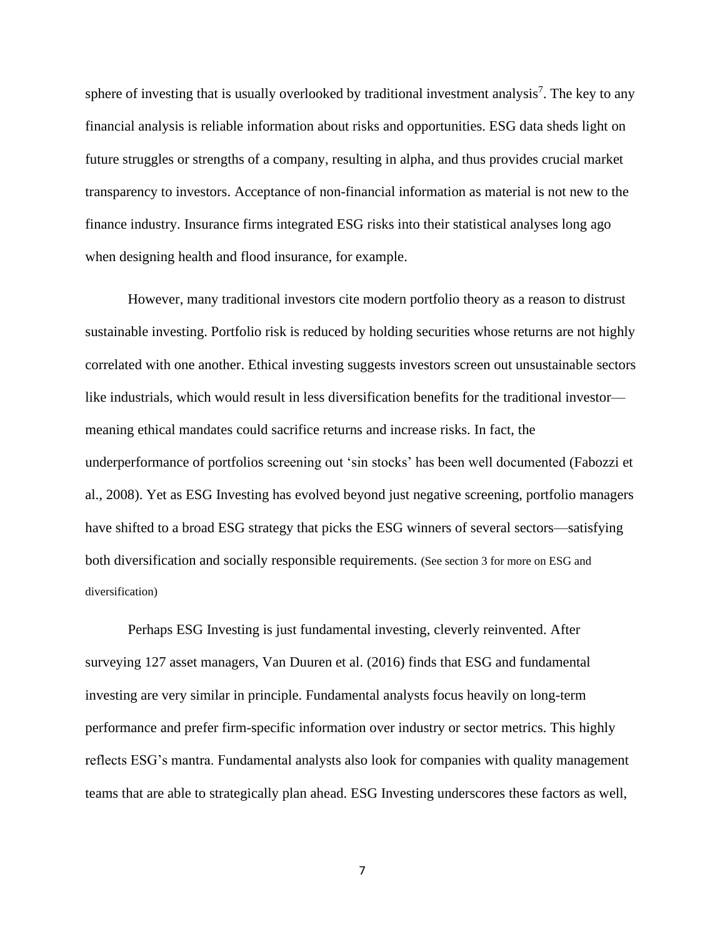sphere of investing that is usually overlooked by traditional investment analysis<sup>7</sup>. The key to any financial analysis is reliable information about risks and opportunities. ESG data sheds light on future struggles or strengths of a company, resulting in alpha, and thus provides crucial market transparency to investors. Acceptance of non-financial information as material is not new to the finance industry. Insurance firms integrated ESG risks into their statistical analyses long ago when designing health and flood insurance, for example.

However, many traditional investors cite modern portfolio theory as a reason to distrust sustainable investing. Portfolio risk is reduced by holding securities whose returns are not highly correlated with one another. Ethical investing suggests investors screen out unsustainable sectors like industrials, which would result in less diversification benefits for the traditional investor meaning ethical mandates could sacrifice returns and increase risks. In fact, the underperformance of portfolios screening out 'sin stocks' has been well documented (Fabozzi et al., 2008). Yet as ESG Investing has evolved beyond just negative screening, portfolio managers have shifted to a broad ESG strategy that picks the ESG winners of several sectors—satisfying both diversification and socially responsible requirements. (See section 3 for more on ESG and diversification)

Perhaps ESG Investing is just fundamental investing, cleverly reinvented. After surveying 127 asset managers, Van Duuren et al. (2016) finds that ESG and fundamental investing are very similar in principle. Fundamental analysts focus heavily on long-term performance and prefer firm-specific information over industry or sector metrics. This highly reflects ESG's mantra. Fundamental analysts also look for companies with quality management teams that are able to strategically plan ahead. ESG Investing underscores these factors as well,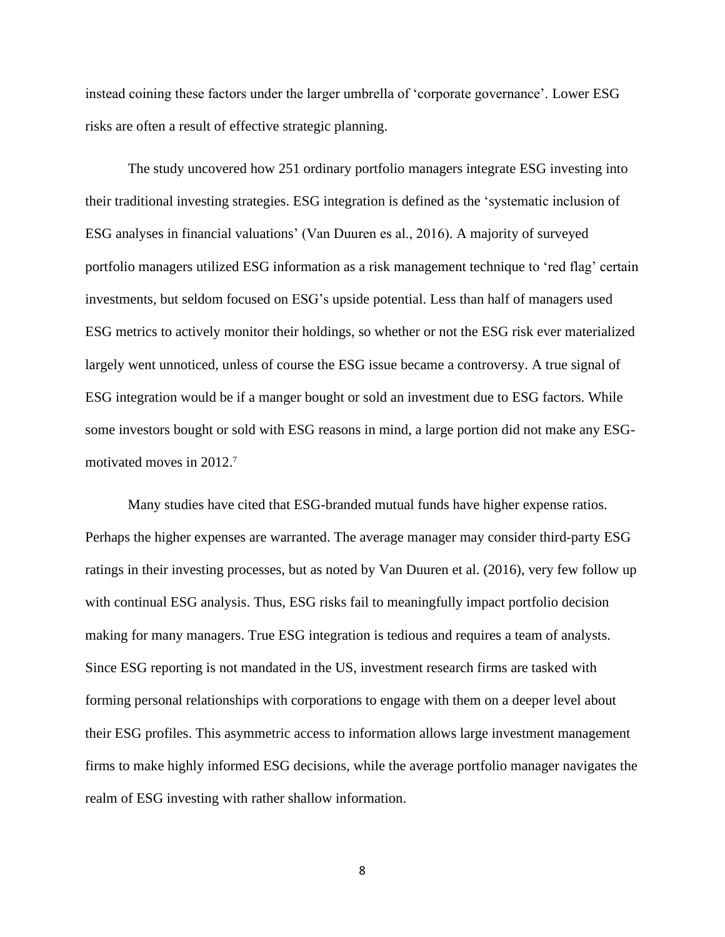instead coining these factors under the larger umbrella of 'corporate governance'. Lower ESG risks are often a result of effective strategic planning.

The study uncovered how 251 ordinary portfolio managers integrate ESG investing into their traditional investing strategies. ESG integration is defined as the 'systematic inclusion of ESG analyses in financial valuations' (Van Duuren es al., 2016). A majority of surveyed portfolio managers utilized ESG information as a risk management technique to 'red flag' certain investments, but seldom focused on ESG's upside potential. Less than half of managers used ESG metrics to actively monitor their holdings, so whether or not the ESG risk ever materialized largely went unnoticed, unless of course the ESG issue became a controversy. A true signal of ESG integration would be if a manger bought or sold an investment due to ESG factors. While some investors bought or sold with ESG reasons in mind, a large portion did not make any ESGmotivated moves in 2012.<sup>7</sup>

Many studies have cited that ESG-branded mutual funds have higher expense ratios. Perhaps the higher expenses are warranted. The average manager may consider third-party ESG ratings in their investing processes, but as noted by Van Duuren et al. (2016), very few follow up with continual ESG analysis. Thus, ESG risks fail to meaningfully impact portfolio decision making for many managers. True ESG integration is tedious and requires a team of analysts. Since ESG reporting is not mandated in the US, investment research firms are tasked with forming personal relationships with corporations to engage with them on a deeper level about their ESG profiles. This asymmetric access to information allows large investment management firms to make highly informed ESG decisions, while the average portfolio manager navigates the realm of ESG investing with rather shallow information.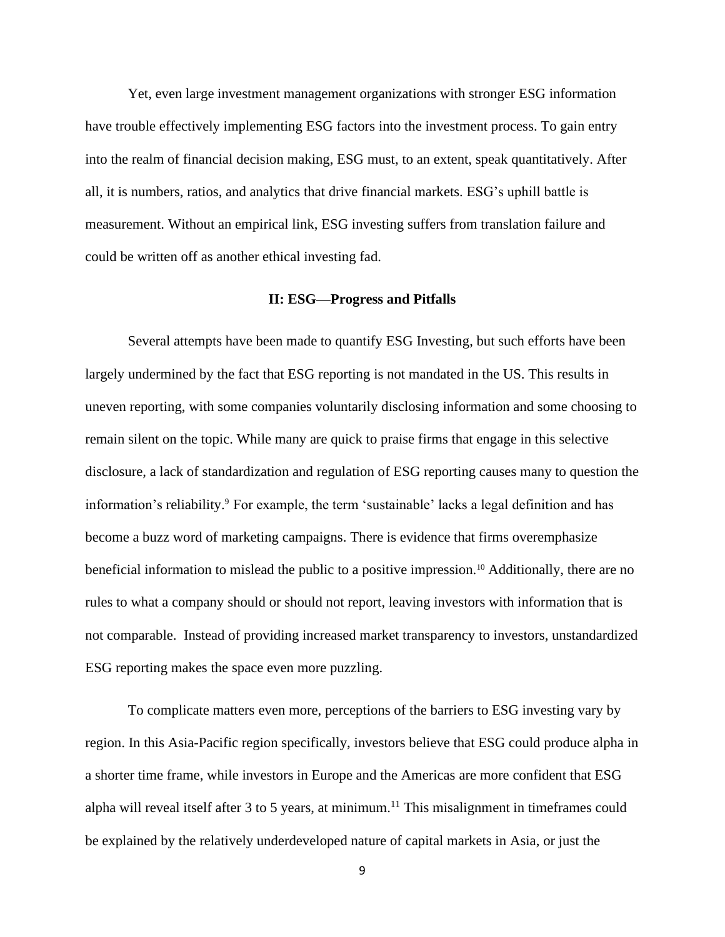Yet, even large investment management organizations with stronger ESG information have trouble effectively implementing ESG factors into the investment process. To gain entry into the realm of financial decision making, ESG must, to an extent, speak quantitatively. After all, it is numbers, ratios, and analytics that drive financial markets. ESG's uphill battle is measurement. Without an empirical link, ESG investing suffers from translation failure and could be written off as another ethical investing fad.

## **II: ESG—Progress and Pitfalls**

Several attempts have been made to quantify ESG Investing, but such efforts have been largely undermined by the fact that ESG reporting is not mandated in the US. This results in uneven reporting, with some companies voluntarily disclosing information and some choosing to remain silent on the topic. While many are quick to praise firms that engage in this selective disclosure, a lack of standardization and regulation of ESG reporting causes many to question the information's reliability.<sup>9</sup> For example, the term 'sustainable' lacks a legal definition and has become a buzz word of marketing campaigns. There is evidence that firms overemphasize beneficial information to mislead the public to a positive impression.<sup>10</sup> Additionally, there are no rules to what a company should or should not report, leaving investors with information that is not comparable. Instead of providing increased market transparency to investors, unstandardized ESG reporting makes the space even more puzzling.

To complicate matters even more, perceptions of the barriers to ESG investing vary by region. In this Asia-Pacific region specifically, investors believe that ESG could produce alpha in a shorter time frame, while investors in Europe and the Americas are more confident that ESG alpha will reveal itself after 3 to 5 years, at minimum.<sup>11</sup> This misalignment in timeframes could be explained by the relatively underdeveloped nature of capital markets in Asia, or just the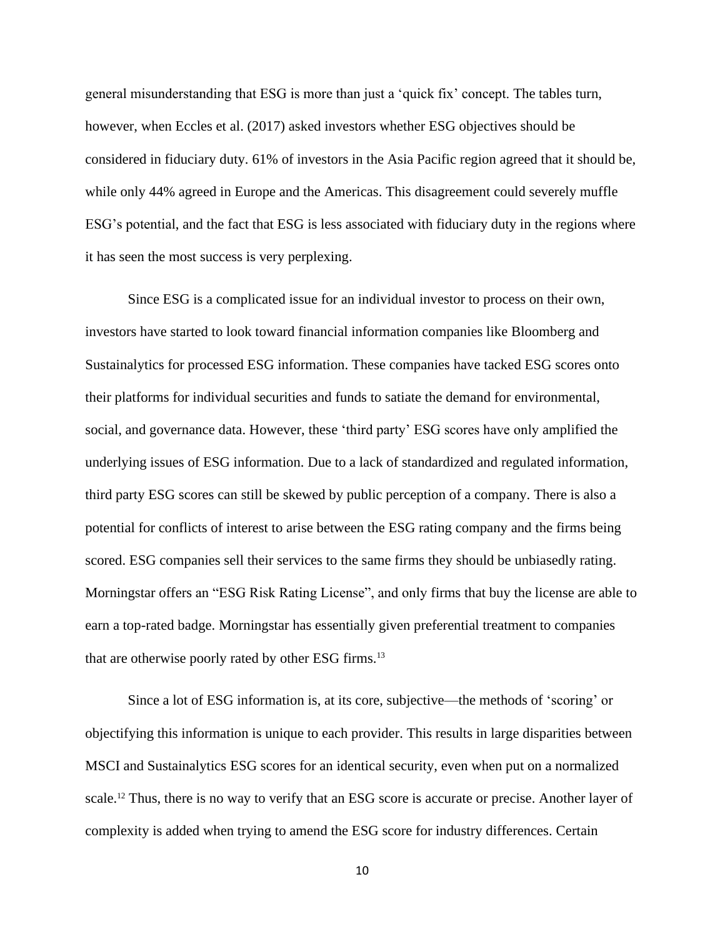general misunderstanding that ESG is more than just a 'quick fix' concept. The tables turn, however, when Eccles et al. (2017) asked investors whether ESG objectives should be considered in fiduciary duty. 61% of investors in the Asia Pacific region agreed that it should be, while only 44% agreed in Europe and the Americas. This disagreement could severely muffle ESG's potential, and the fact that ESG is less associated with fiduciary duty in the regions where it has seen the most success is very perplexing.

Since ESG is a complicated issue for an individual investor to process on their own, investors have started to look toward financial information companies like Bloomberg and Sustainalytics for processed ESG information. These companies have tacked ESG scores onto their platforms for individual securities and funds to satiate the demand for environmental, social, and governance data. However, these 'third party' ESG scores have only amplified the underlying issues of ESG information. Due to a lack of standardized and regulated information, third party ESG scores can still be skewed by public perception of a company. There is also a potential for conflicts of interest to arise between the ESG rating company and the firms being scored. ESG companies sell their services to the same firms they should be unbiasedly rating. Morningstar offers an "ESG Risk Rating License", and only firms that buy the license are able to earn a top-rated badge. Morningstar has essentially given preferential treatment to companies that are otherwise poorly rated by other ESG firms.<sup>13</sup>

Since a lot of ESG information is, at its core, subjective—the methods of 'scoring' or objectifying this information is unique to each provider. This results in large disparities between MSCI and Sustainalytics ESG scores for an identical security, even when put on a normalized scale.<sup>12</sup> Thus, there is no way to verify that an ESG score is accurate or precise. Another layer of complexity is added when trying to amend the ESG score for industry differences. Certain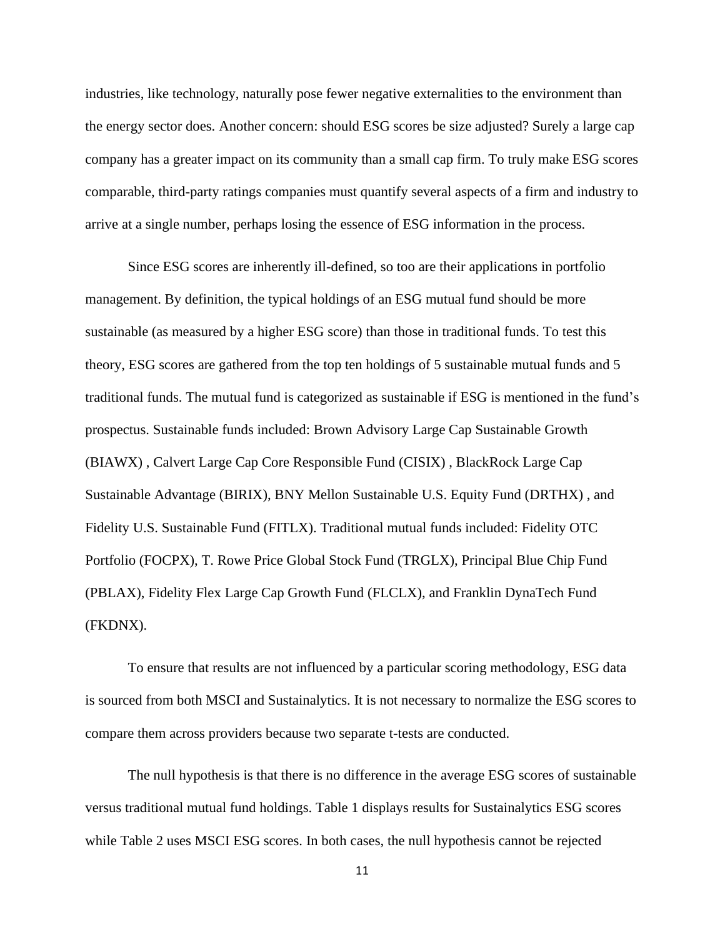industries, like technology, naturally pose fewer negative externalities to the environment than the energy sector does. Another concern: should ESG scores be size adjusted? Surely a large cap company has a greater impact on its community than a small cap firm. To truly make ESG scores comparable, third-party ratings companies must quantify several aspects of a firm and industry to arrive at a single number, perhaps losing the essence of ESG information in the process.

Since ESG scores are inherently ill-defined, so too are their applications in portfolio management. By definition, the typical holdings of an ESG mutual fund should be more sustainable (as measured by a higher ESG score) than those in traditional funds. To test this theory, ESG scores are gathered from the top ten holdings of 5 sustainable mutual funds and 5 traditional funds. The mutual fund is categorized as sustainable if ESG is mentioned in the fund's prospectus. Sustainable funds included: Brown Advisory Large Cap Sustainable Growth (BIAWX) , Calvert Large Cap Core Responsible Fund (CISIX) , BlackRock Large Cap Sustainable Advantage (BIRIX), BNY Mellon Sustainable U.S. Equity Fund (DRTHX) , and Fidelity U.S. Sustainable Fund (FITLX). Traditional mutual funds included: Fidelity OTC Portfolio (FOCPX), T. Rowe Price Global Stock Fund (TRGLX), Principal Blue Chip Fund (PBLAX), Fidelity Flex Large Cap Growth Fund (FLCLX), and Franklin DynaTech Fund (FKDNX).

To ensure that results are not influenced by a particular scoring methodology, ESG data is sourced from both MSCI and Sustainalytics. It is not necessary to normalize the ESG scores to compare them across providers because two separate t-tests are conducted.

The null hypothesis is that there is no difference in the average ESG scores of sustainable versus traditional mutual fund holdings. Table 1 displays results for Sustainalytics ESG scores while Table 2 uses MSCI ESG scores. In both cases, the null hypothesis cannot be rejected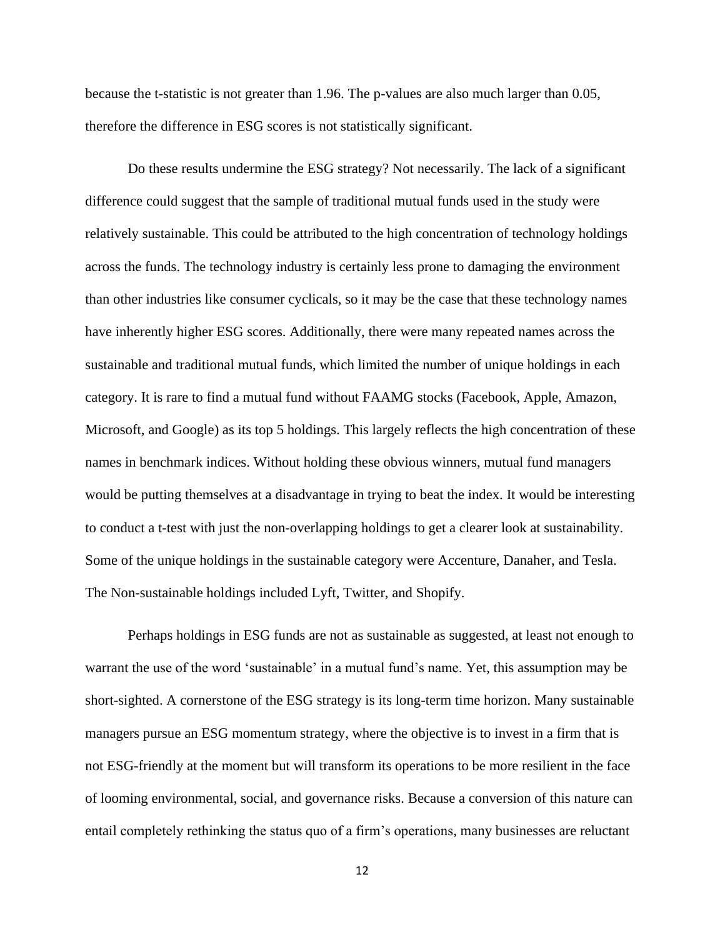because the t-statistic is not greater than 1.96. The p-values are also much larger than 0.05, therefore the difference in ESG scores is not statistically significant.

Do these results undermine the ESG strategy? Not necessarily. The lack of a significant difference could suggest that the sample of traditional mutual funds used in the study were relatively sustainable. This could be attributed to the high concentration of technology holdings across the funds. The technology industry is certainly less prone to damaging the environment than other industries like consumer cyclicals, so it may be the case that these technology names have inherently higher ESG scores. Additionally, there were many repeated names across the sustainable and traditional mutual funds, which limited the number of unique holdings in each category. It is rare to find a mutual fund without FAAMG stocks (Facebook, Apple, Amazon, Microsoft, and Google) as its top 5 holdings. This largely reflects the high concentration of these names in benchmark indices. Without holding these obvious winners, mutual fund managers would be putting themselves at a disadvantage in trying to beat the index. It would be interesting to conduct a t-test with just the non-overlapping holdings to get a clearer look at sustainability. Some of the unique holdings in the sustainable category were Accenture, Danaher, and Tesla. The Non-sustainable holdings included Lyft, Twitter, and Shopify.

Perhaps holdings in ESG funds are not as sustainable as suggested, at least not enough to warrant the use of the word 'sustainable' in a mutual fund's name. Yet, this assumption may be short-sighted. A cornerstone of the ESG strategy is its long-term time horizon. Many sustainable managers pursue an ESG momentum strategy, where the objective is to invest in a firm that is not ESG-friendly at the moment but will transform its operations to be more resilient in the face of looming environmental, social, and governance risks. Because a conversion of this nature can entail completely rethinking the status quo of a firm's operations, many businesses are reluctant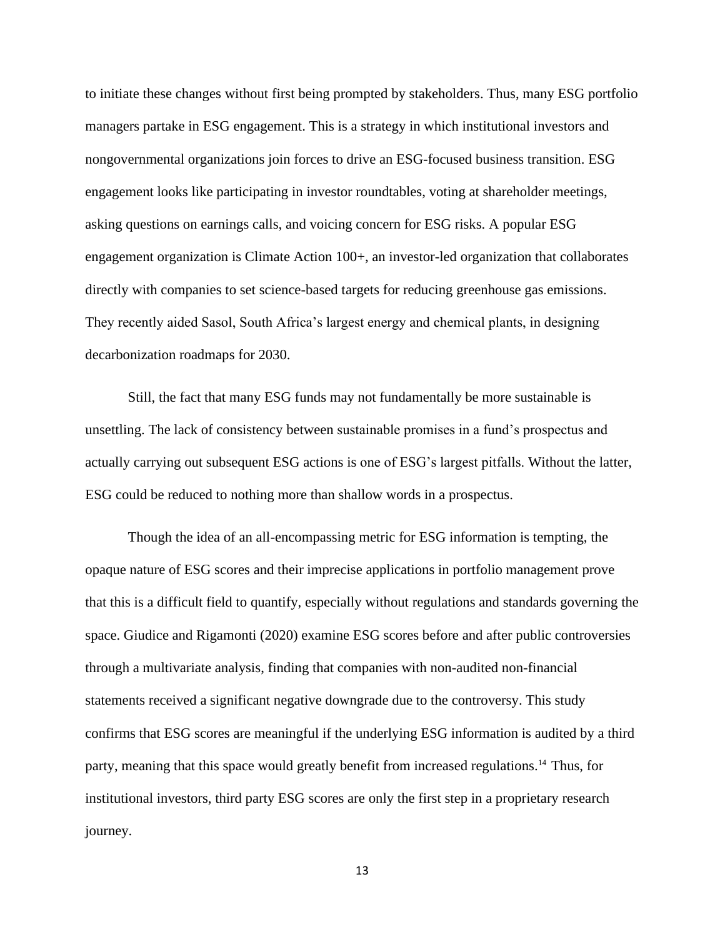to initiate these changes without first being prompted by stakeholders. Thus, many ESG portfolio managers partake in ESG engagement. This is a strategy in which institutional investors and nongovernmental organizations join forces to drive an ESG-focused business transition. ESG engagement looks like participating in investor roundtables, voting at shareholder meetings, asking questions on earnings calls, and voicing concern for ESG risks. A popular ESG engagement organization is Climate Action 100+, an investor-led organization that collaborates directly with companies to set science-based targets for reducing greenhouse gas emissions. They recently aided Sasol, South Africa's largest energy and chemical plants, in designing decarbonization roadmaps for 2030.

Still, the fact that many ESG funds may not fundamentally be more sustainable is unsettling. The lack of consistency between sustainable promises in a fund's prospectus and actually carrying out subsequent ESG actions is one of ESG's largest pitfalls. Without the latter, ESG could be reduced to nothing more than shallow words in a prospectus.

Though the idea of an all-encompassing metric for ESG information is tempting, the opaque nature of ESG scores and their imprecise applications in portfolio management prove that this is a difficult field to quantify, especially without regulations and standards governing the space. Giudice and Rigamonti (2020) examine ESG scores before and after public controversies through a multivariate analysis, finding that companies with non-audited non-financial statements received a significant negative downgrade due to the controversy. This study confirms that ESG scores are meaningful if the underlying ESG information is audited by a third party, meaning that this space would greatly benefit from increased regulations.<sup>14</sup> Thus, for institutional investors, third party ESG scores are only the first step in a proprietary research journey.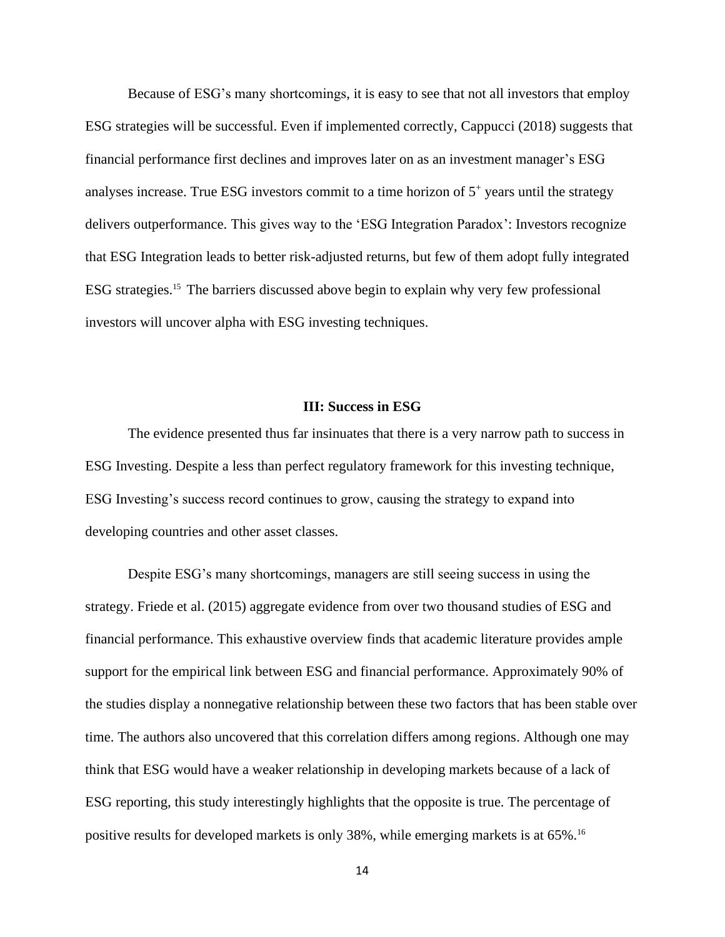Because of ESG's many shortcomings, it is easy to see that not all investors that employ ESG strategies will be successful. Even if implemented correctly, Cappucci (2018) suggests that financial performance first declines and improves later on as an investment manager's ESG analyses increase. True ESG investors commit to a time horizon of  $5<sup>+</sup>$  years until the strategy delivers outperformance. This gives way to the 'ESG Integration Paradox': Investors recognize that ESG Integration leads to better risk-adjusted returns, but few of them adopt fully integrated ESG strategies.<sup>15</sup> The barriers discussed above begin to explain why very few professional investors will uncover alpha with ESG investing techniques.

## **III: Success in ESG**

The evidence presented thus far insinuates that there is a very narrow path to success in ESG Investing. Despite a less than perfect regulatory framework for this investing technique, ESG Investing's success record continues to grow, causing the strategy to expand into developing countries and other asset classes.

Despite ESG's many shortcomings, managers are still seeing success in using the strategy. Friede et al. (2015) aggregate evidence from over two thousand studies of ESG and financial performance. This exhaustive overview finds that academic literature provides ample support for the empirical link between ESG and financial performance. Approximately 90% of the studies display a nonnegative relationship between these two factors that has been stable over time. The authors also uncovered that this correlation differs among regions. Although one may think that ESG would have a weaker relationship in developing markets because of a lack of ESG reporting, this study interestingly highlights that the opposite is true. The percentage of positive results for developed markets is only 38%, while emerging markets is at 65%.16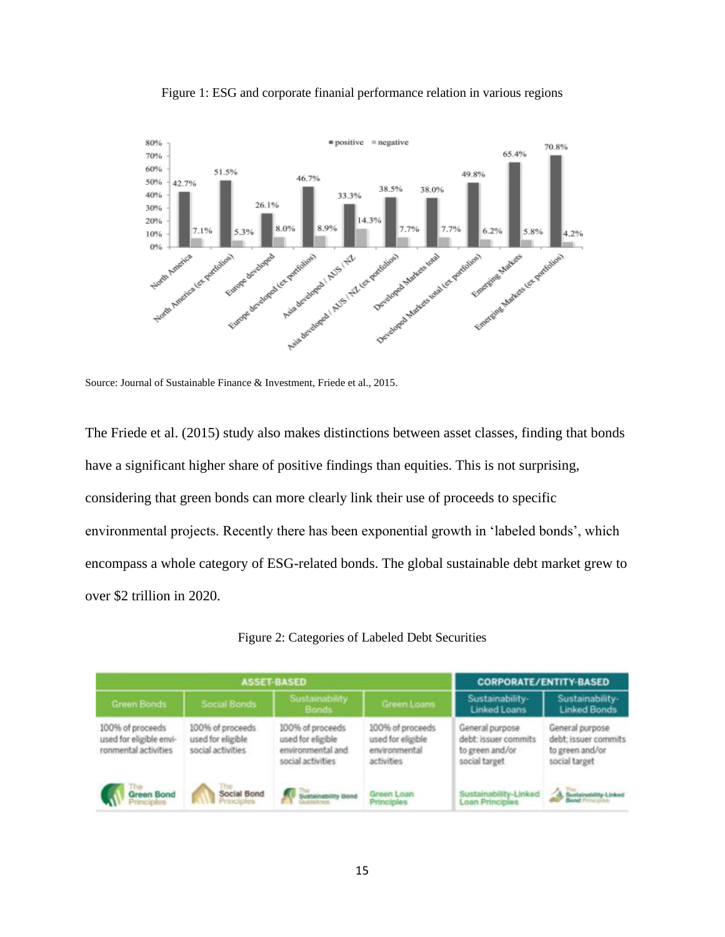



Source: Journal of Sustainable Finance & Investment, Friede et al., 2015.

The Friede et al. (2015) study also makes distinctions between asset classes, finding that bonds have a significant higher share of positive findings than equities. This is not surprising, considering that green bonds can more clearly link their use of proceeds to specific environmental projects. Recently there has been exponential growth in 'labeled bonds', which encompass a whole category of ESG-related bonds. The global sustainable debt market grew to over \$2 trillion in 2020.

|                                                                     | <b>ASSET-BASED</b>                                         | <b>CORPORATE/ENTITY-BASED</b>                                                   |                                                                      |                                                                             |                                                                             |
|---------------------------------------------------------------------|------------------------------------------------------------|---------------------------------------------------------------------------------|----------------------------------------------------------------------|-----------------------------------------------------------------------------|-----------------------------------------------------------------------------|
| <b>Green Bonds</b>                                                  | <b>Social Bonds</b>                                        | Sustainability<br>Bonds                                                         | Green Loans                                                          | Sustainability-<br><b>Linked Loans</b>                                      | Sustainability-<br><b>Linked Bonds</b>                                      |
| 100% of proceeds<br>used for eligible envi-<br>ronmental activities | 100% of proceeds<br>used for eligible<br>social activities | 100% of proceeds<br>used for eligible<br>environmental and<br>social activities | 100% of proceeds<br>used for eligible<br>environmental<br>activities | General purpose<br>debt: issuer commits<br>to green and/or<br>social target | General purpose<br>debt; issuer commits<br>to green and/or<br>social target |
| Green Bond                                                          | Social Bond                                                | Sustainability Bond                                                             | Green Loan<br>Principles                                             | Sustainability-Linked<br>Loan Principles                                    | Suntainability Linked                                                       |

| Figure 2: Categories of Labeled Debt Securities |  |  |
|-------------------------------------------------|--|--|
|                                                 |  |  |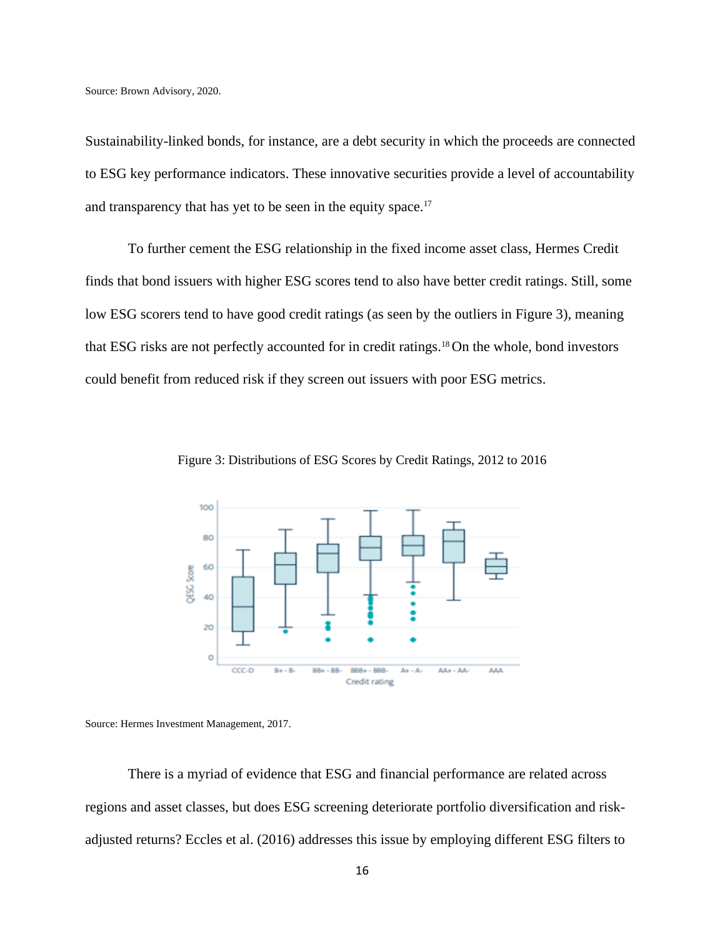Source: Brown Advisory, 2020.

Sustainability-linked bonds, for instance, are a debt security in which the proceeds are connected to ESG key performance indicators. These innovative securities provide a level of accountability and transparency that has yet to be seen in the equity space.<sup>17</sup>

To further cement the ESG relationship in the fixed income asset class, Hermes Credit finds that bond issuers with higher ESG scores tend to also have better credit ratings. Still, some low ESG scorers tend to have good credit ratings (as seen by the outliers in Figure 3), meaning that ESG risks are not perfectly accounted for in credit ratings.<sup>18</sup> On the whole, bond investors could benefit from reduced risk if they screen out issuers with poor ESG metrics.



Figure 3: Distributions of ESG Scores by Credit Ratings, 2012 to 2016

Source: Hermes Investment Management, 2017.

There is a myriad of evidence that ESG and financial performance are related across regions and asset classes, but does ESG screening deteriorate portfolio diversification and riskadjusted returns? Eccles et al. (2016) addresses this issue by employing different ESG filters to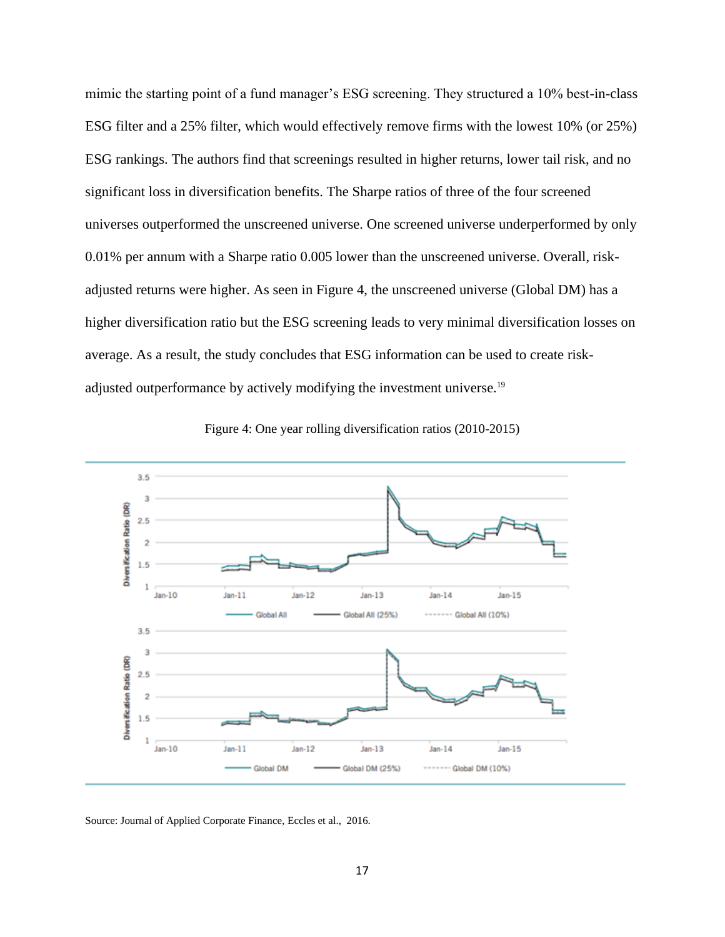mimic the starting point of a fund manager's ESG screening. They structured a 10% best-in-class ESG filter and a 25% filter, which would effectively remove firms with the lowest 10% (or 25%) ESG rankings. The authors find that screenings resulted in higher returns, lower tail risk, and no significant loss in diversification benefits. The Sharpe ratios of three of the four screened universes outperformed the unscreened universe. One screened universe underperformed by only 0.01% per annum with a Sharpe ratio 0.005 lower than the unscreened universe. Overall, riskadjusted returns were higher. As seen in Figure 4, the unscreened universe (Global DM) has a higher diversification ratio but the ESG screening leads to very minimal diversification losses on average. As a result, the study concludes that ESG information can be used to create riskadjusted outperformance by actively modifying the investment universe.<sup>19</sup>



Figure 4: One year rolling diversification ratios (2010-2015)

Source: Journal of Applied Corporate Finance, Eccles et al., 2016.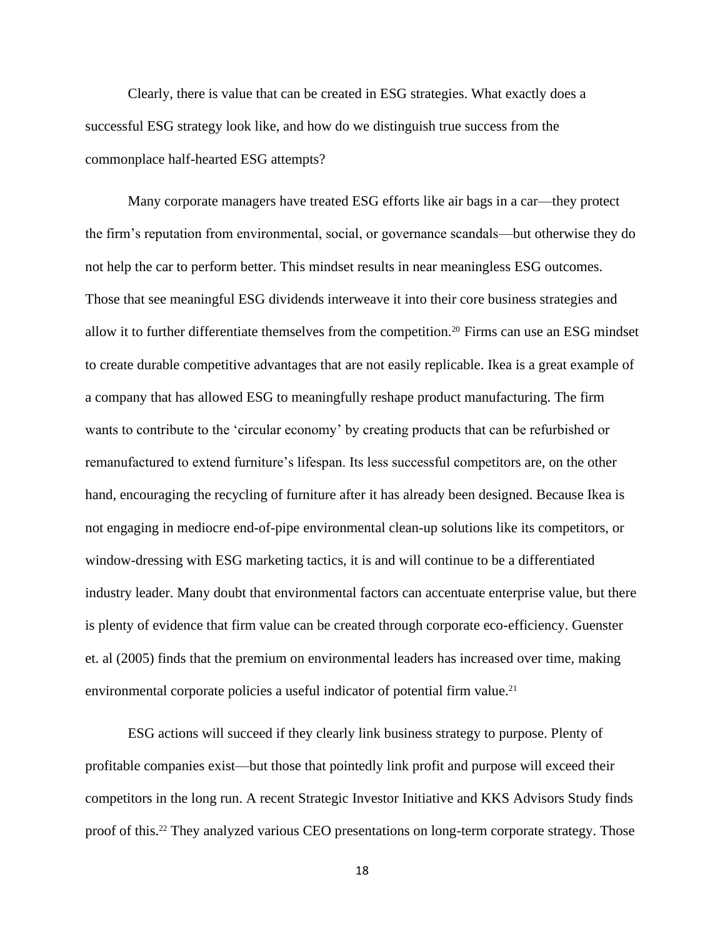Clearly, there is value that can be created in ESG strategies. What exactly does a successful ESG strategy look like, and how do we distinguish true success from the commonplace half-hearted ESG attempts?

Many corporate managers have treated ESG efforts like air bags in a car—they protect the firm's reputation from environmental, social, or governance scandals—but otherwise they do not help the car to perform better. This mindset results in near meaningless ESG outcomes. Those that see meaningful ESG dividends interweave it into their core business strategies and allow it to further differentiate themselves from the competition.<sup>20</sup> Firms can use an ESG mindset to create durable competitive advantages that are not easily replicable. Ikea is a great example of a company that has allowed ESG to meaningfully reshape product manufacturing. The firm wants to contribute to the 'circular economy' by creating products that can be refurbished or remanufactured to extend furniture's lifespan. Its less successful competitors are, on the other hand, encouraging the recycling of furniture after it has already been designed. Because Ikea is not engaging in mediocre end-of-pipe environmental clean-up solutions like its competitors, or window-dressing with ESG marketing tactics, it is and will continue to be a differentiated industry leader. Many doubt that environmental factors can accentuate enterprise value, but there is plenty of evidence that firm value can be created through corporate eco-efficiency. Guenster et. al (2005) finds that the premium on environmental leaders has increased over time, making environmental corporate policies a useful indicator of potential firm value.<sup>21</sup>

ESG actions will succeed if they clearly link business strategy to purpose. Plenty of profitable companies exist—but those that pointedly link profit and purpose will exceed their competitors in the long run. A recent Strategic Investor Initiative and KKS Advisors Study finds proof of this.<sup>22</sup> They analyzed various CEO presentations on long-term corporate strategy. Those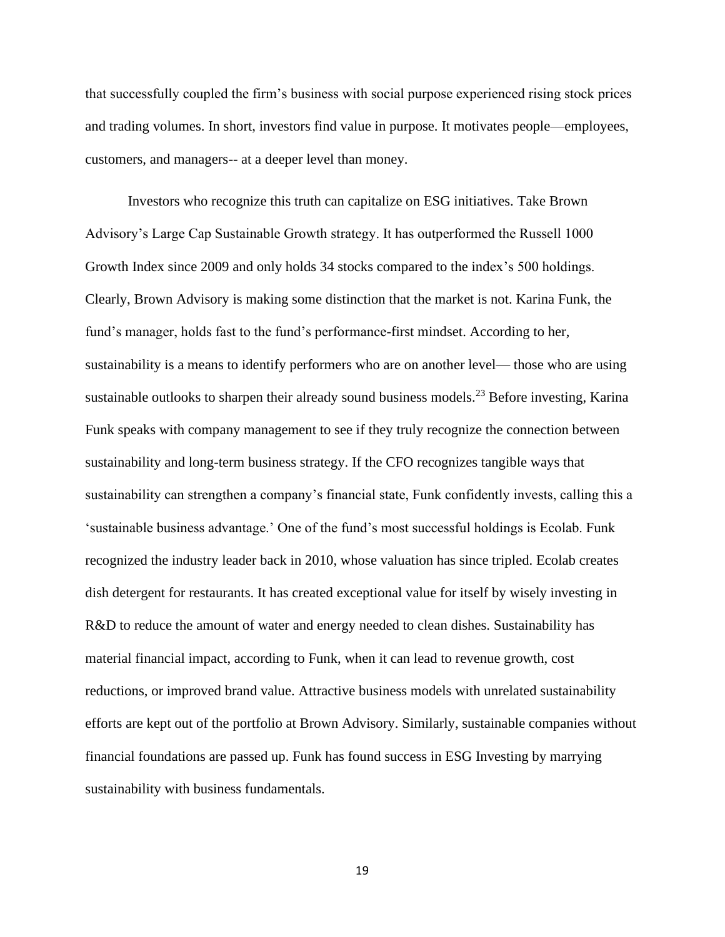that successfully coupled the firm's business with social purpose experienced rising stock prices and trading volumes. In short, investors find value in purpose. It motivates people—employees, customers, and managers-- at a deeper level than money.

Investors who recognize this truth can capitalize on ESG initiatives. Take Brown Advisory's Large Cap Sustainable Growth strategy. It has outperformed the Russell 1000 Growth Index since 2009 and only holds 34 stocks compared to the index's 500 holdings. Clearly, Brown Advisory is making some distinction that the market is not. Karina Funk, the fund's manager, holds fast to the fund's performance-first mindset. According to her, sustainability is a means to identify performers who are on another level— those who are using sustainable outlooks to sharpen their already sound business models.<sup>23</sup> Before investing, Karina Funk speaks with company management to see if they truly recognize the connection between sustainability and long-term business strategy. If the CFO recognizes tangible ways that sustainability can strengthen a company's financial state, Funk confidently invests, calling this a 'sustainable business advantage.' One of the fund's most successful holdings is Ecolab. Funk recognized the industry leader back in 2010, whose valuation has since tripled. Ecolab creates dish detergent for restaurants. It has created exceptional value for itself by wisely investing in R&D to reduce the amount of water and energy needed to clean dishes. Sustainability has material financial impact, according to Funk, when it can lead to revenue growth, cost reductions, or improved brand value. Attractive business models with unrelated sustainability efforts are kept out of the portfolio at Brown Advisory. Similarly, sustainable companies without financial foundations are passed up. Funk has found success in ESG Investing by marrying sustainability with business fundamentals.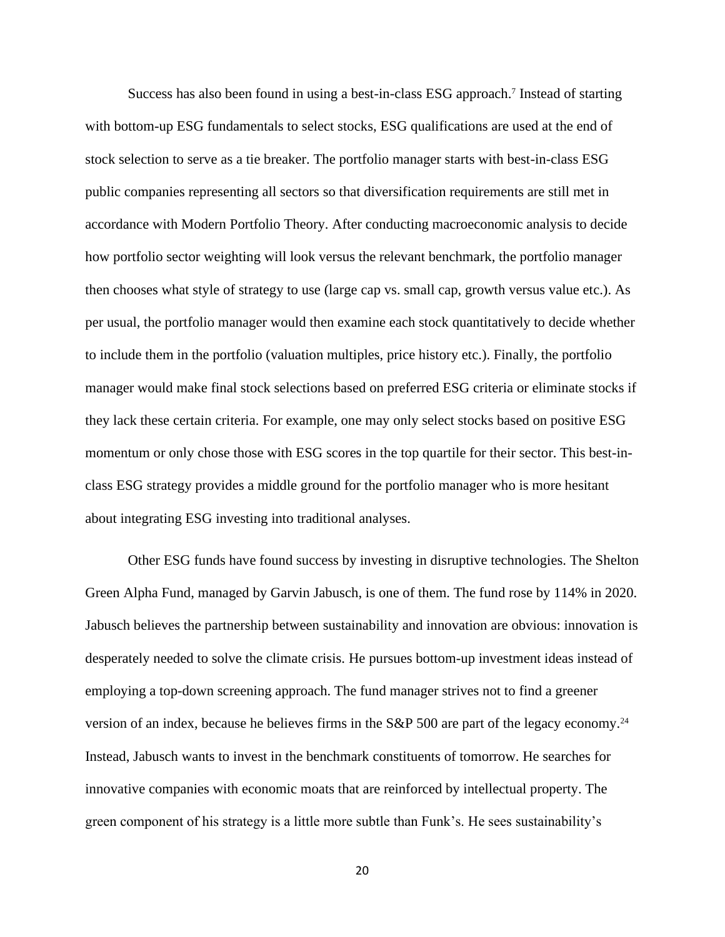Success has also been found in using a best-in-class ESG approach.<sup>7</sup> Instead of starting with bottom-up ESG fundamentals to select stocks, ESG qualifications are used at the end of stock selection to serve as a tie breaker. The portfolio manager starts with best-in-class ESG public companies representing all sectors so that diversification requirements are still met in accordance with Modern Portfolio Theory. After conducting macroeconomic analysis to decide how portfolio sector weighting will look versus the relevant benchmark, the portfolio manager then chooses what style of strategy to use (large cap vs. small cap, growth versus value etc.). As per usual, the portfolio manager would then examine each stock quantitatively to decide whether to include them in the portfolio (valuation multiples, price history etc.). Finally, the portfolio manager would make final stock selections based on preferred ESG criteria or eliminate stocks if they lack these certain criteria. For example, one may only select stocks based on positive ESG momentum or only chose those with ESG scores in the top quartile for their sector. This best-inclass ESG strategy provides a middle ground for the portfolio manager who is more hesitant about integrating ESG investing into traditional analyses.

Other ESG funds have found success by investing in disruptive technologies. The Shelton Green Alpha Fund, managed by Garvin Jabusch, is one of them. The fund rose by 114% in 2020. Jabusch believes the partnership between sustainability and innovation are obvious: innovation is desperately needed to solve the climate crisis. He pursues bottom-up investment ideas instead of employing a top-down screening approach. The fund manager strives not to find a greener version of an index, because he believes firms in the S&P 500 are part of the legacy economy.<sup>24</sup> Instead, Jabusch wants to invest in the benchmark constituents of tomorrow. He searches for innovative companies with economic moats that are reinforced by intellectual property. The green component of his strategy is a little more subtle than Funk's. He sees sustainability's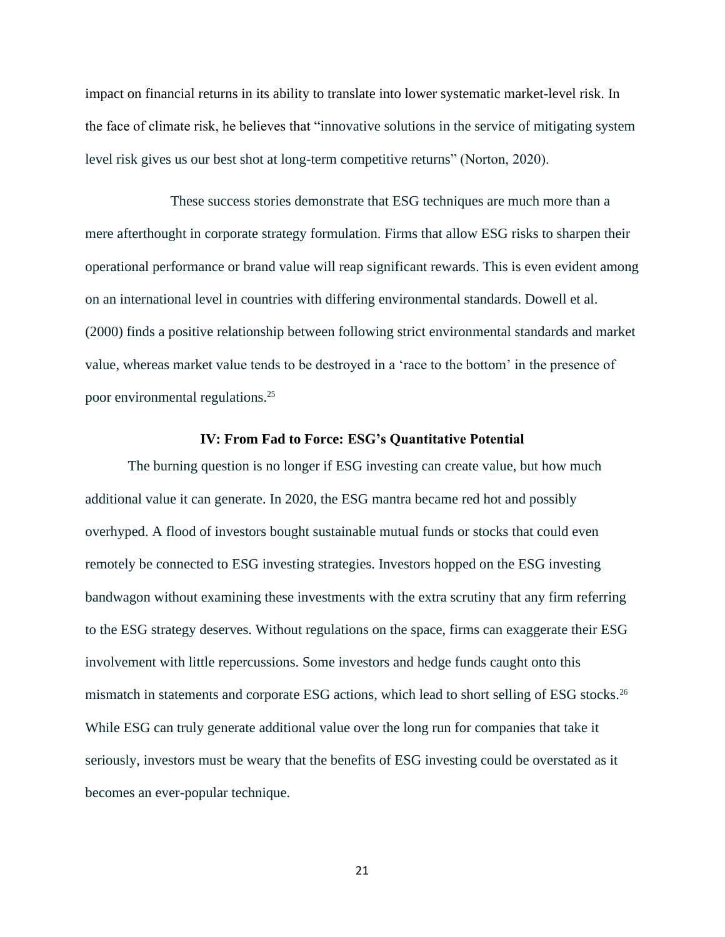impact on financial returns in its ability to translate into lower systematic market-level risk. In the face of climate risk, he believes that "innovative solutions in the service of mitigating system level risk gives us our best shot at long-term competitive returns" (Norton, 2020).

These success stories demonstrate that ESG techniques are much more than a mere afterthought in corporate strategy formulation. Firms that allow ESG risks to sharpen their operational performance or brand value will reap significant rewards. This is even evident among on an international level in countries with differing environmental standards. Dowell et al. (2000) finds a positive relationship between following strict environmental standards and market value, whereas market value tends to be destroyed in a 'race to the bottom' in the presence of poor environmental regulations.<sup>25</sup>

#### **IV: From Fad to Force: ESG's Quantitative Potential**

The burning question is no longer if ESG investing can create value, but how much additional value it can generate. In 2020, the ESG mantra became red hot and possibly overhyped. A flood of investors bought sustainable mutual funds or stocks that could even remotely be connected to ESG investing strategies. Investors hopped on the ESG investing bandwagon without examining these investments with the extra scrutiny that any firm referring to the ESG strategy deserves. Without regulations on the space, firms can exaggerate their ESG involvement with little repercussions. Some investors and hedge funds caught onto this mismatch in statements and corporate ESG actions, which lead to short selling of ESG stocks.<sup>26</sup> While ESG can truly generate additional value over the long run for companies that take it seriously, investors must be weary that the benefits of ESG investing could be overstated as it becomes an ever-popular technique.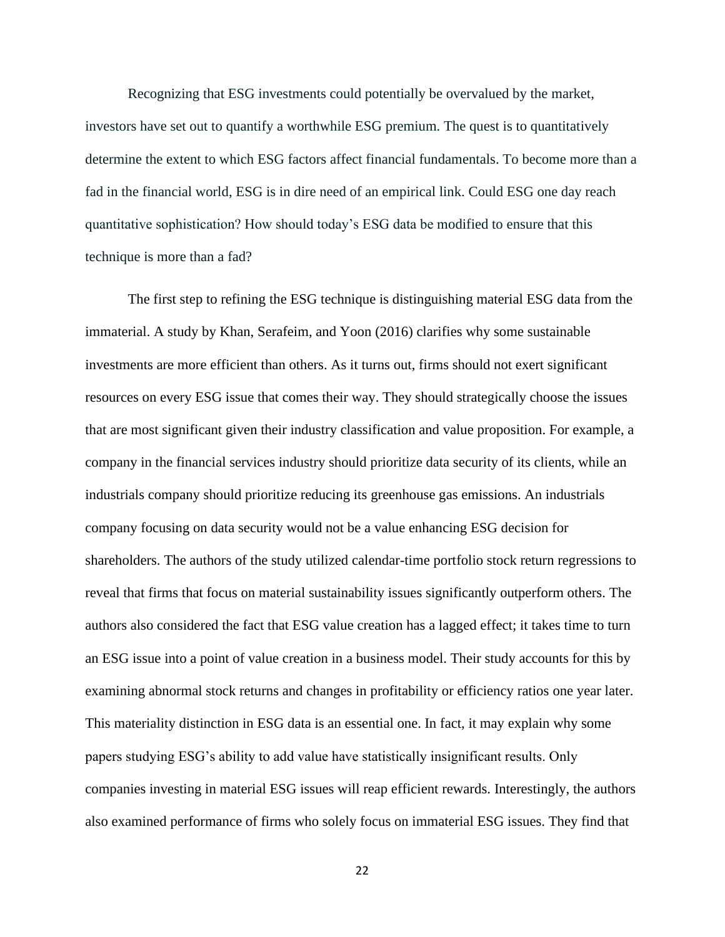Recognizing that ESG investments could potentially be overvalued by the market, investors have set out to quantify a worthwhile ESG premium. The quest is to quantitatively determine the extent to which ESG factors affect financial fundamentals. To become more than a fad in the financial world, ESG is in dire need of an empirical link. Could ESG one day reach quantitative sophistication? How should today's ESG data be modified to ensure that this technique is more than a fad?

The first step to refining the ESG technique is distinguishing material ESG data from the immaterial. A study by Khan, Serafeim, and Yoon (2016) clarifies why some sustainable investments are more efficient than others. As it turns out, firms should not exert significant resources on every ESG issue that comes their way. They should strategically choose the issues that are most significant given their industry classification and value proposition. For example, a company in the financial services industry should prioritize data security of its clients, while an industrials company should prioritize reducing its greenhouse gas emissions. An industrials company focusing on data security would not be a value enhancing ESG decision for shareholders. The authors of the study utilized calendar-time portfolio stock return regressions to reveal that firms that focus on material sustainability issues significantly outperform others. The authors also considered the fact that ESG value creation has a lagged effect; it takes time to turn an ESG issue into a point of value creation in a business model. Their study accounts for this by examining abnormal stock returns and changes in profitability or efficiency ratios one year later. This materiality distinction in ESG data is an essential one. In fact, it may explain why some papers studying ESG's ability to add value have statistically insignificant results. Only companies investing in material ESG issues will reap efficient rewards. Interestingly, the authors also examined performance of firms who solely focus on immaterial ESG issues. They find that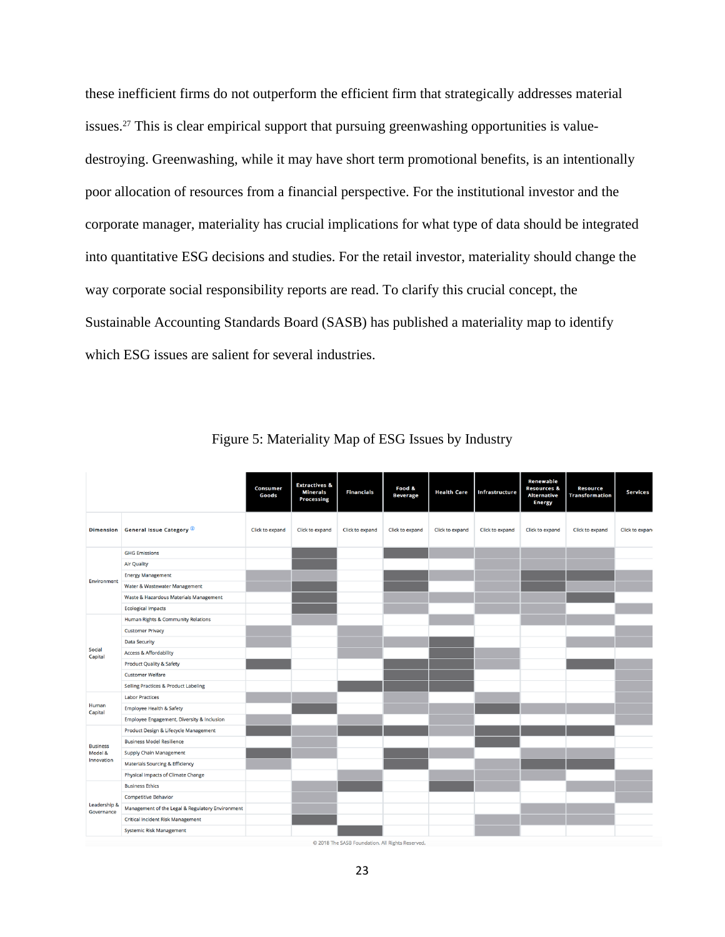these inefficient firms do not outperform the efficient firm that strategically addresses material issues.<sup>27</sup> This is clear empirical support that pursuing greenwashing opportunities is valuedestroying. Greenwashing, while it may have short term promotional benefits, is an intentionally poor allocation of resources from a financial perspective. For the institutional investor and the corporate manager, materiality has crucial implications for what type of data should be integrated into quantitative ESG decisions and studies. For the retail investor, materiality should change the way corporate social responsibility reports are read. To clarify this crucial concept, the Sustainable Accounting Standards Board (SASB) has published a materiality map to identify which ESG issues are salient for several industries.

|                            |                                                  | <b>Consumer</b><br>Goods | <b>Extractives &amp;</b><br><b>Minerals</b><br><b>Processing</b> | <b>Financials</b>                               | Food &<br><b>Beverage</b> | <b>Health Care</b> | Infrastructure  | Renewable<br><b>Resources &amp;</b><br><b>Alternative</b><br><b>Energy</b> | <b>Resource</b><br><b>Transformation</b> | <b>Services</b> |
|----------------------------|--------------------------------------------------|--------------------------|------------------------------------------------------------------|-------------------------------------------------|---------------------------|--------------------|-----------------|----------------------------------------------------------------------------|------------------------------------------|-----------------|
| <b>Dimension</b>           | <b>General Issue Category</b> <sup>1</sup>       | Click to expand          | Click to expand                                                  | Click to expand                                 | Click to expand           | Click to expand    | Click to expand | Click to expand                                                            | Click to expand                          | Click to expan  |
|                            | <b>GHG Emissions</b>                             |                          |                                                                  |                                                 |                           |                    |                 |                                                                            |                                          |                 |
|                            | <b>Air Quality</b>                               |                          |                                                                  |                                                 |                           |                    |                 |                                                                            |                                          |                 |
|                            | <b>Energy Management</b>                         |                          |                                                                  |                                                 |                           |                    |                 |                                                                            |                                          |                 |
| Environment                | Water & Wastewater Management                    |                          |                                                                  |                                                 |                           |                    |                 |                                                                            |                                          |                 |
|                            | Waste & Hazardous Materials Management           |                          |                                                                  |                                                 |                           |                    |                 |                                                                            |                                          |                 |
|                            | <b>Ecological Impacts</b>                        |                          |                                                                  |                                                 |                           |                    |                 |                                                                            |                                          |                 |
|                            | Human Rights & Community Relations               |                          |                                                                  |                                                 |                           |                    |                 |                                                                            |                                          |                 |
|                            | <b>Customer Privacy</b>                          |                          |                                                                  |                                                 |                           |                    |                 |                                                                            |                                          |                 |
|                            | <b>Data Security</b>                             |                          |                                                                  |                                                 |                           |                    |                 |                                                                            |                                          |                 |
| Social<br>Capital          | <b>Access &amp; Affordability</b>                |                          |                                                                  |                                                 |                           |                    |                 |                                                                            |                                          |                 |
|                            | <b>Product Quality &amp; Safety</b>              |                          |                                                                  |                                                 |                           |                    |                 |                                                                            |                                          |                 |
|                            | <b>Customer Welfare</b>                          |                          |                                                                  |                                                 |                           |                    |                 |                                                                            |                                          |                 |
|                            | <b>Selling Practices &amp; Product Labeling</b>  |                          |                                                                  |                                                 |                           |                    |                 |                                                                            |                                          |                 |
|                            | <b>Labor Practices</b>                           |                          |                                                                  |                                                 |                           |                    |                 |                                                                            |                                          |                 |
| Human<br>Capital           | <b>Employee Health &amp; Safety</b>              |                          |                                                                  |                                                 |                           |                    |                 |                                                                            |                                          |                 |
|                            | Employee Engagement, Diversity & Inclusion       |                          |                                                                  |                                                 |                           |                    |                 |                                                                            |                                          |                 |
|                            | Product Design & Lifecycle Management            |                          |                                                                  |                                                 |                           |                    |                 |                                                                            |                                          |                 |
| <b>Business</b>            | <b>Business Model Resilience</b>                 |                          |                                                                  |                                                 |                           |                    |                 |                                                                            |                                          |                 |
| Model &<br>Innovation      | <b>Supply Chain Management</b>                   |                          |                                                                  |                                                 |                           |                    |                 |                                                                            |                                          |                 |
|                            | <b>Materials Sourcing &amp; Efficiency</b>       |                          |                                                                  |                                                 |                           |                    |                 |                                                                            |                                          |                 |
|                            | Physical Impacts of Climate Change               |                          |                                                                  |                                                 |                           |                    |                 |                                                                            |                                          |                 |
| Leadership &<br>Governance | <b>Business Ethics</b>                           |                          |                                                                  |                                                 |                           |                    |                 |                                                                            |                                          |                 |
|                            | <b>Competitive Behavior</b>                      |                          |                                                                  |                                                 |                           |                    |                 |                                                                            |                                          |                 |
|                            | Management of the Legal & Regulatory Environment |                          |                                                                  |                                                 |                           |                    |                 |                                                                            |                                          |                 |
|                            | <b>Critical Incident Risk Management</b>         |                          |                                                                  |                                                 |                           |                    |                 |                                                                            |                                          |                 |
|                            | <b>Systemic Risk Management</b>                  |                          |                                                                  |                                                 |                           |                    |                 |                                                                            |                                          |                 |
|                            |                                                  |                          |                                                                  | @ 2018 The SASR Foundation, All Pights Reserved |                           |                    |                 |                                                                            |                                          |                 |

Figure 5: Materiality Map of ESG Issues by Industry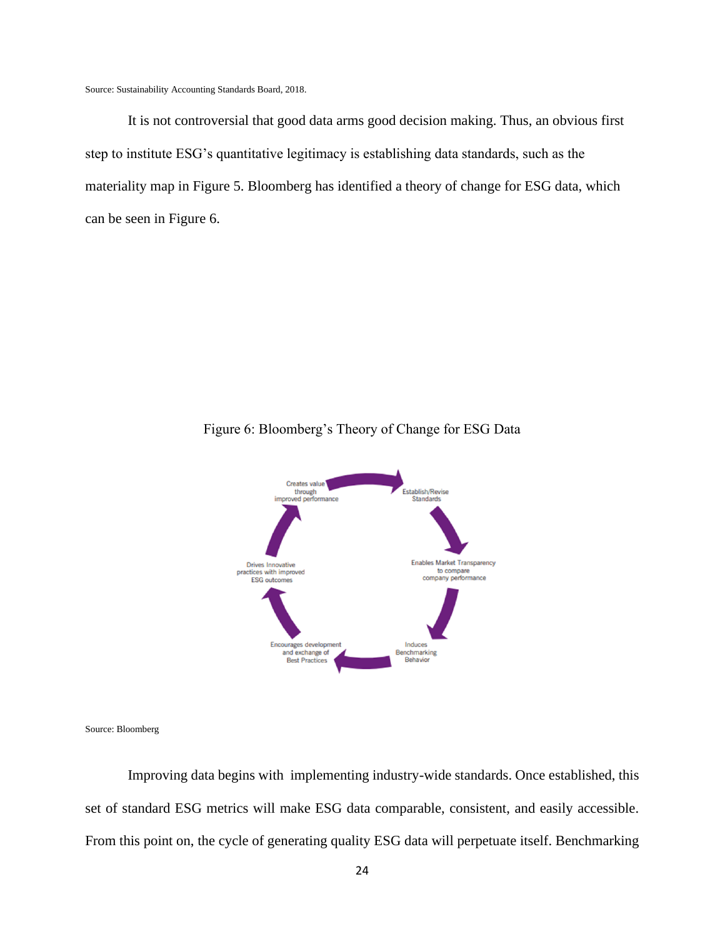Source: Sustainability Accounting Standards Board, 2018.

It is not controversial that good data arms good decision making. Thus, an obvious first step to institute ESG's quantitative legitimacy is establishing data standards, such as the materiality map in Figure 5. Bloomberg has identified a theory of change for ESG data, which can be seen in Figure 6.



Figure 6: Bloomberg's Theory of Change for ESG Data

Source: Bloomberg

Improving data begins with implementing industry-wide standards. Once established, this set of standard ESG metrics will make ESG data comparable, consistent, and easily accessible. From this point on, the cycle of generating quality ESG data will perpetuate itself. Benchmarking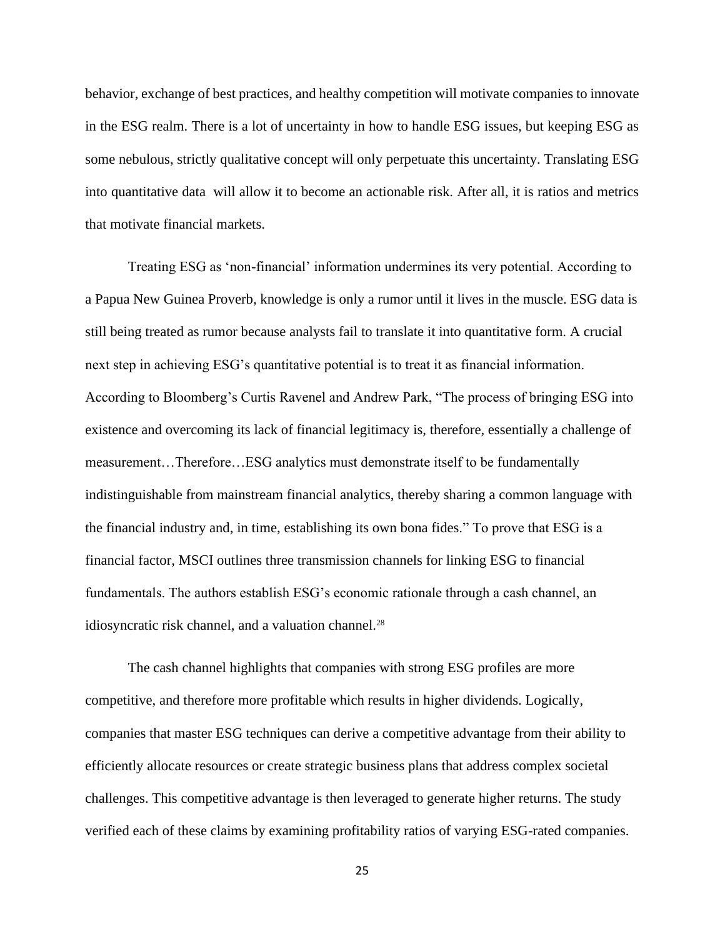behavior, exchange of best practices, and healthy competition will motivate companies to innovate in the ESG realm. There is a lot of uncertainty in how to handle ESG issues, but keeping ESG as some nebulous, strictly qualitative concept will only perpetuate this uncertainty. Translating ESG into quantitative data will allow it to become an actionable risk. After all, it is ratios and metrics that motivate financial markets.

Treating ESG as 'non-financial' information undermines its very potential. According to a Papua New Guinea Proverb, knowledge is only a rumor until it lives in the muscle. ESG data is still being treated as rumor because analysts fail to translate it into quantitative form. A crucial next step in achieving ESG's quantitative potential is to treat it as financial information. According to Bloomberg's Curtis Ravenel and Andrew Park, "The process of bringing ESG into existence and overcoming its lack of financial legitimacy is, therefore, essentially a challenge of measurement…Therefore…ESG analytics must demonstrate itself to be fundamentally indistinguishable from mainstream financial analytics, thereby sharing a common language with the financial industry and, in time, establishing its own bona fides." To prove that ESG is a financial factor, MSCI outlines three transmission channels for linking ESG to financial fundamentals. The authors establish ESG's economic rationale through a cash channel, an idiosyncratic risk channel, and a valuation channel.<sup>28</sup>

The cash channel highlights that companies with strong ESG profiles are more competitive, and therefore more profitable which results in higher dividends. Logically, companies that master ESG techniques can derive a competitive advantage from their ability to efficiently allocate resources or create strategic business plans that address complex societal challenges. This competitive advantage is then leveraged to generate higher returns. The study verified each of these claims by examining profitability ratios of varying ESG-rated companies.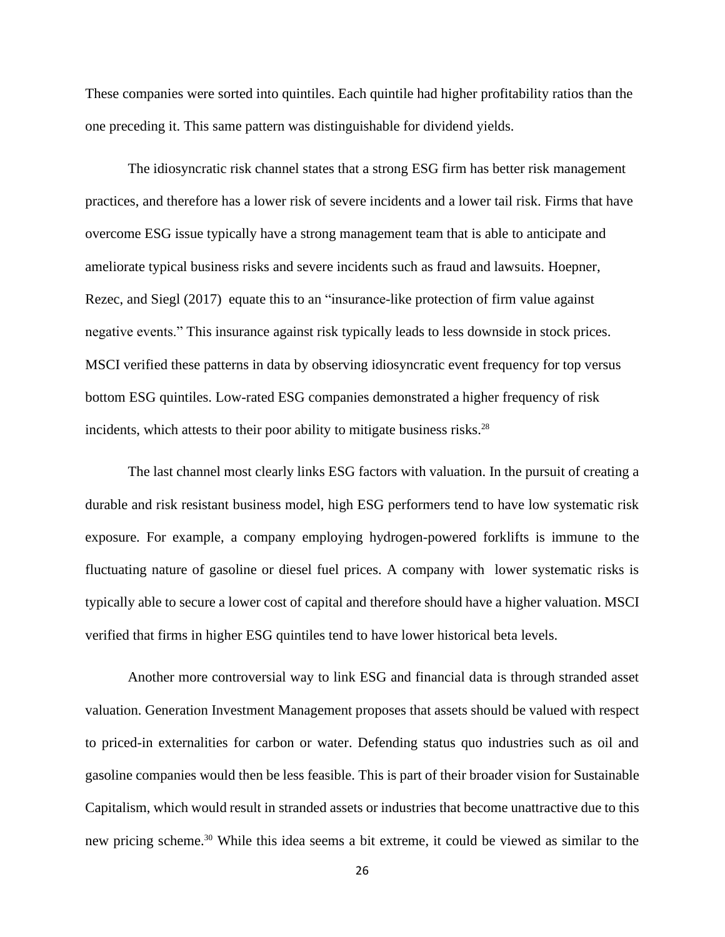These companies were sorted into quintiles. Each quintile had higher profitability ratios than the one preceding it. This same pattern was distinguishable for dividend yields.

The idiosyncratic risk channel states that a strong ESG firm has better risk management practices, and therefore has a lower risk of severe incidents and a lower tail risk. Firms that have overcome ESG issue typically have a strong management team that is able to anticipate and ameliorate typical business risks and severe incidents such as fraud and lawsuits. Hoepner, Rezec, and Siegl (2017) equate this to an "insurance-like protection of firm value against negative events." This insurance against risk typically leads to less downside in stock prices. MSCI verified these patterns in data by observing idiosyncratic event frequency for top versus bottom ESG quintiles. Low-rated ESG companies demonstrated a higher frequency of risk incidents, which attests to their poor ability to mitigate business risks.<sup>28</sup>

The last channel most clearly links ESG factors with valuation. In the pursuit of creating a durable and risk resistant business model, high ESG performers tend to have low systematic risk exposure. For example, a company employing hydrogen-powered forklifts is immune to the fluctuating nature of gasoline or diesel fuel prices. A company with lower systematic risks is typically able to secure a lower cost of capital and therefore should have a higher valuation. MSCI verified that firms in higher ESG quintiles tend to have lower historical beta levels.

Another more controversial way to link ESG and financial data is through stranded asset valuation. Generation Investment Management proposes that assets should be valued with respect to priced-in externalities for carbon or water. Defending status quo industries such as oil and gasoline companies would then be less feasible. This is part of their broader vision for Sustainable Capitalism, which would result in stranded assets or industries that become unattractive due to this new pricing scheme.<sup>30</sup> While this idea seems a bit extreme, it could be viewed as similar to the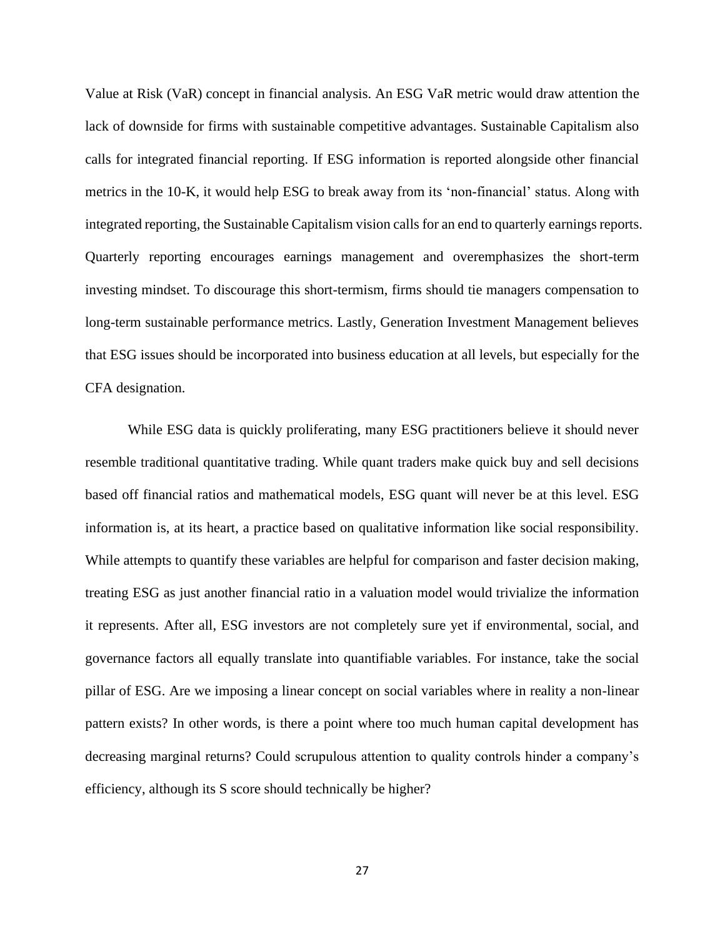Value at Risk (VaR) concept in financial analysis. An ESG VaR metric would draw attention the lack of downside for firms with sustainable competitive advantages. Sustainable Capitalism also calls for integrated financial reporting. If ESG information is reported alongside other financial metrics in the 10-K, it would help ESG to break away from its 'non-financial' status. Along with integrated reporting, the Sustainable Capitalism vision calls for an end to quarterly earnings reports. Quarterly reporting encourages earnings management and overemphasizes the short-term investing mindset. To discourage this short-termism, firms should tie managers compensation to long-term sustainable performance metrics. Lastly, Generation Investment Management believes that ESG issues should be incorporated into business education at all levels, but especially for the CFA designation.

While ESG data is quickly proliferating, many ESG practitioners believe it should never resemble traditional quantitative trading. While quant traders make quick buy and sell decisions based off financial ratios and mathematical models, ESG quant will never be at this level. ESG information is, at its heart, a practice based on qualitative information like social responsibility. While attempts to quantify these variables are helpful for comparison and faster decision making, treating ESG as just another financial ratio in a valuation model would trivialize the information it represents. After all, ESG investors are not completely sure yet if environmental, social, and governance factors all equally translate into quantifiable variables. For instance, take the social pillar of ESG. Are we imposing a linear concept on social variables where in reality a non-linear pattern exists? In other words, is there a point where too much human capital development has decreasing marginal returns? Could scrupulous attention to quality controls hinder a company's efficiency, although its S score should technically be higher?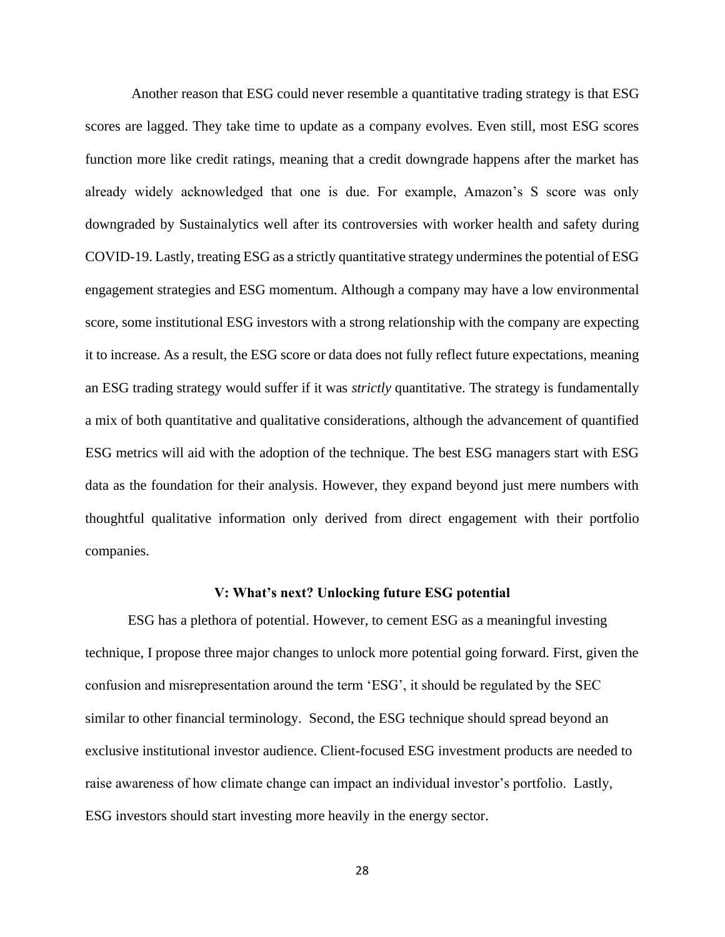Another reason that ESG could never resemble a quantitative trading strategy is that ESG scores are lagged. They take time to update as a company evolves. Even still, most ESG scores function more like credit ratings, meaning that a credit downgrade happens after the market has already widely acknowledged that one is due. For example, Amazon's S score was only downgraded by Sustainalytics well after its controversies with worker health and safety during COVID-19. Lastly, treating ESG as a strictly quantitative strategy undermines the potential of ESG engagement strategies and ESG momentum. Although a company may have a low environmental score, some institutional ESG investors with a strong relationship with the company are expecting it to increase. As a result, the ESG score or data does not fully reflect future expectations, meaning an ESG trading strategy would suffer if it was *strictly* quantitative. The strategy is fundamentally a mix of both quantitative and qualitative considerations, although the advancement of quantified ESG metrics will aid with the adoption of the technique. The best ESG managers start with ESG data as the foundation for their analysis. However, they expand beyond just mere numbers with thoughtful qualitative information only derived from direct engagement with their portfolio companies.

#### **V: What's next? Unlocking future ESG potential**

ESG has a plethora of potential. However, to cement ESG as a meaningful investing technique, I propose three major changes to unlock more potential going forward. First, given the confusion and misrepresentation around the term 'ESG', it should be regulated by the SEC similar to other financial terminology. Second, the ESG technique should spread beyond an exclusive institutional investor audience. Client-focused ESG investment products are needed to raise awareness of how climate change can impact an individual investor's portfolio. Lastly, ESG investors should start investing more heavily in the energy sector.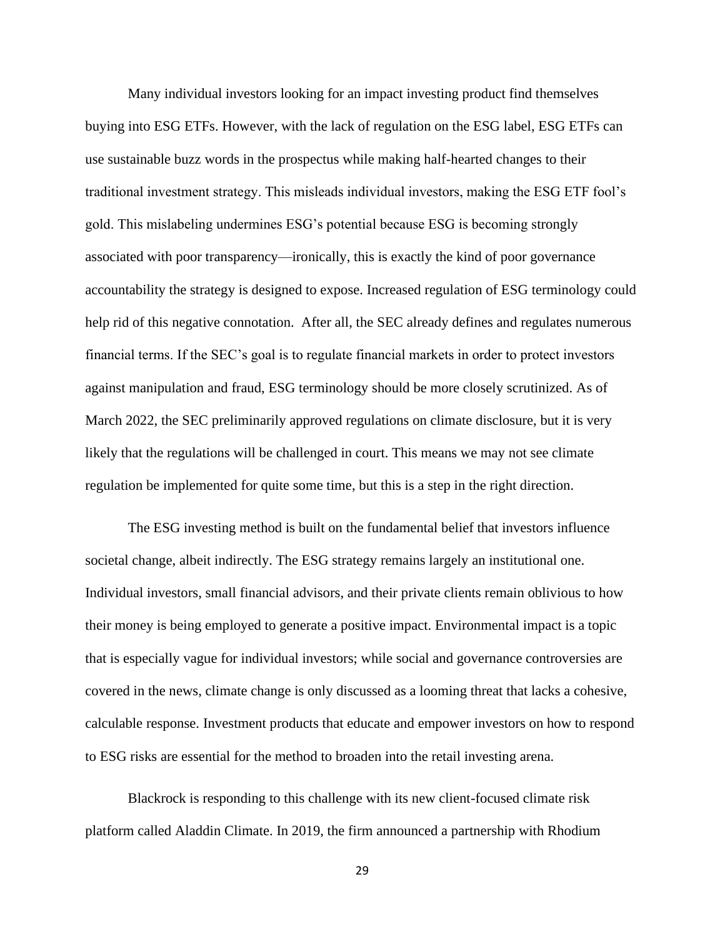Many individual investors looking for an impact investing product find themselves buying into ESG ETFs. However, with the lack of regulation on the ESG label, ESG ETFs can use sustainable buzz words in the prospectus while making half-hearted changes to their traditional investment strategy. This misleads individual investors, making the ESG ETF fool's gold. This mislabeling undermines ESG's potential because ESG is becoming strongly associated with poor transparency—ironically, this is exactly the kind of poor governance accountability the strategy is designed to expose. Increased regulation of ESG terminology could help rid of this negative connotation. After all, the SEC already defines and regulates numerous financial terms. If the SEC's goal is to regulate financial markets in order to protect investors against manipulation and fraud, ESG terminology should be more closely scrutinized. As of March 2022, the SEC preliminarily approved regulations on climate disclosure, but it is very likely that the regulations will be challenged in court. This means we may not see climate regulation be implemented for quite some time, but this is a step in the right direction.

The ESG investing method is built on the fundamental belief that investors influence societal change, albeit indirectly. The ESG strategy remains largely an institutional one. Individual investors, small financial advisors, and their private clients remain oblivious to how their money is being employed to generate a positive impact. Environmental impact is a topic that is especially vague for individual investors; while social and governance controversies are covered in the news, climate change is only discussed as a looming threat that lacks a cohesive, calculable response. Investment products that educate and empower investors on how to respond to ESG risks are essential for the method to broaden into the retail investing arena.

Blackrock is responding to this challenge with its new client-focused climate risk platform called Aladdin Climate. In 2019, the firm announced a partnership with Rhodium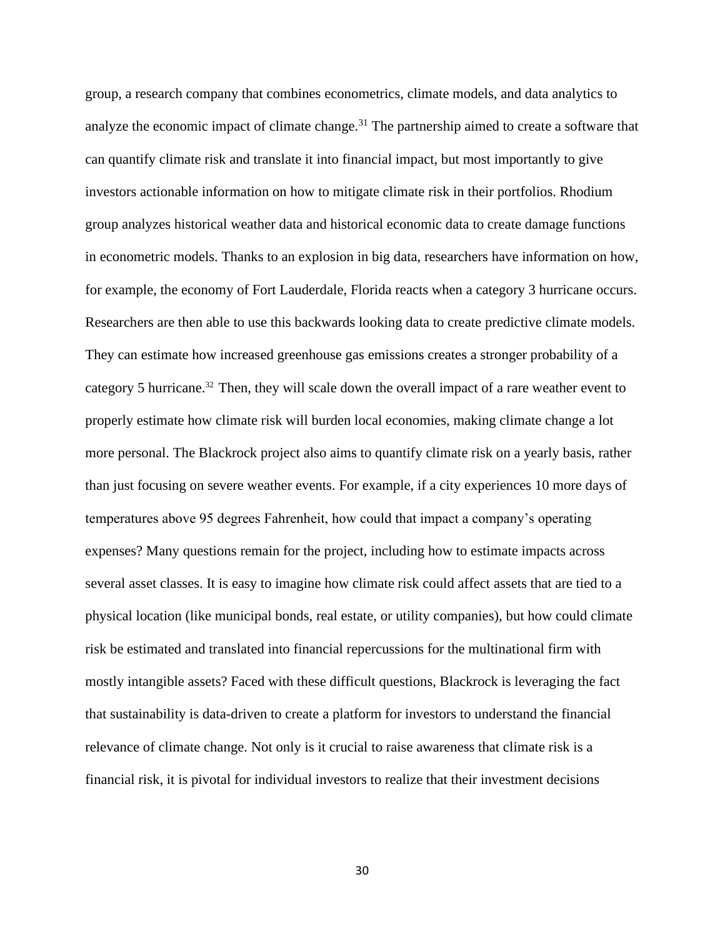group, a research company that combines econometrics, climate models, and data analytics to analyze the economic impact of climate change.<sup>31</sup> The partnership aimed to create a software that can quantify climate risk and translate it into financial impact, but most importantly to give investors actionable information on how to mitigate climate risk in their portfolios. Rhodium group analyzes historical weather data and historical economic data to create damage functions in econometric models. Thanks to an explosion in big data, researchers have information on how, for example, the economy of Fort Lauderdale, Florida reacts when a category 3 hurricane occurs. Researchers are then able to use this backwards looking data to create predictive climate models. They can estimate how increased greenhouse gas emissions creates a stronger probability of a category 5 hurricane. <sup>32</sup> Then, they will scale down the overall impact of a rare weather event to properly estimate how climate risk will burden local economies, making climate change a lot more personal. The Blackrock project also aims to quantify climate risk on a yearly basis, rather than just focusing on severe weather events. For example, if a city experiences 10 more days of temperatures above 95 degrees Fahrenheit, how could that impact a company's operating expenses? Many questions remain for the project, including how to estimate impacts across several asset classes. It is easy to imagine how climate risk could affect assets that are tied to a physical location (like municipal bonds, real estate, or utility companies), but how could climate risk be estimated and translated into financial repercussions for the multinational firm with mostly intangible assets? Faced with these difficult questions, Blackrock is leveraging the fact that sustainability is data-driven to create a platform for investors to understand the financial relevance of climate change. Not only is it crucial to raise awareness that climate risk is a financial risk, it is pivotal for individual investors to realize that their investment decisions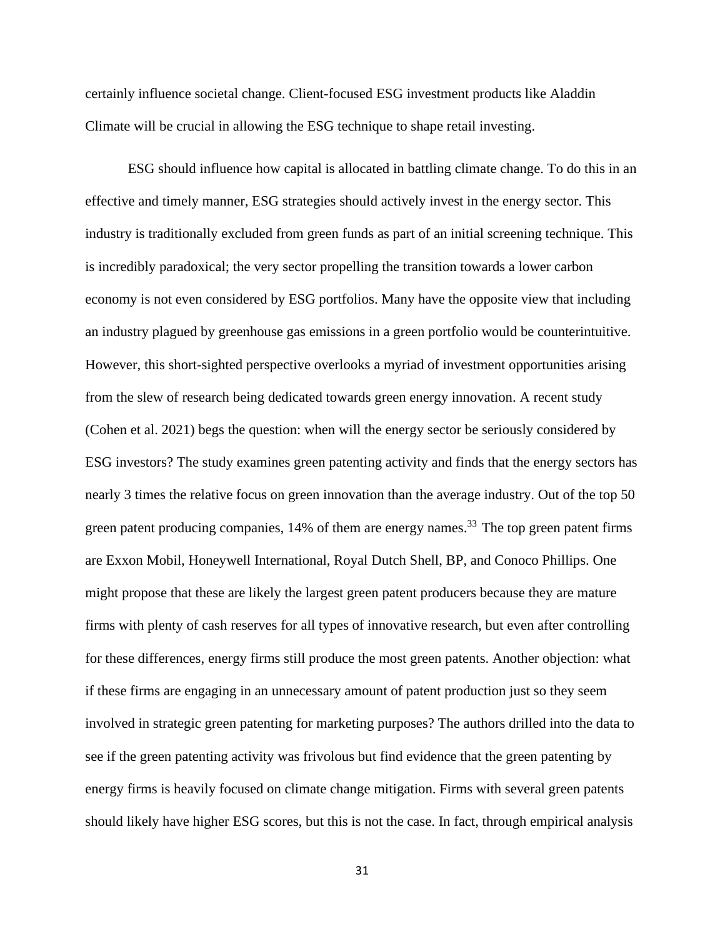certainly influence societal change. Client-focused ESG investment products like Aladdin Climate will be crucial in allowing the ESG technique to shape retail investing.

ESG should influence how capital is allocated in battling climate change. To do this in an effective and timely manner, ESG strategies should actively invest in the energy sector. This industry is traditionally excluded from green funds as part of an initial screening technique. This is incredibly paradoxical; the very sector propelling the transition towards a lower carbon economy is not even considered by ESG portfolios. Many have the opposite view that including an industry plagued by greenhouse gas emissions in a green portfolio would be counterintuitive. However, this short-sighted perspective overlooks a myriad of investment opportunities arising from the slew of research being dedicated towards green energy innovation. A recent study (Cohen et al. 2021) begs the question: when will the energy sector be seriously considered by ESG investors? The study examines green patenting activity and finds that the energy sectors has nearly 3 times the relative focus on green innovation than the average industry. Out of the top 50 green patent producing companies,  $14\%$  of them are energy names.<sup>33</sup> The top green patent firms are Exxon Mobil, Honeywell International, Royal Dutch Shell, BP, and Conoco Phillips. One might propose that these are likely the largest green patent producers because they are mature firms with plenty of cash reserves for all types of innovative research, but even after controlling for these differences, energy firms still produce the most green patents. Another objection: what if these firms are engaging in an unnecessary amount of patent production just so they seem involved in strategic green patenting for marketing purposes? The authors drilled into the data to see if the green patenting activity was frivolous but find evidence that the green patenting by energy firms is heavily focused on climate change mitigation. Firms with several green patents should likely have higher ESG scores, but this is not the case. In fact, through empirical analysis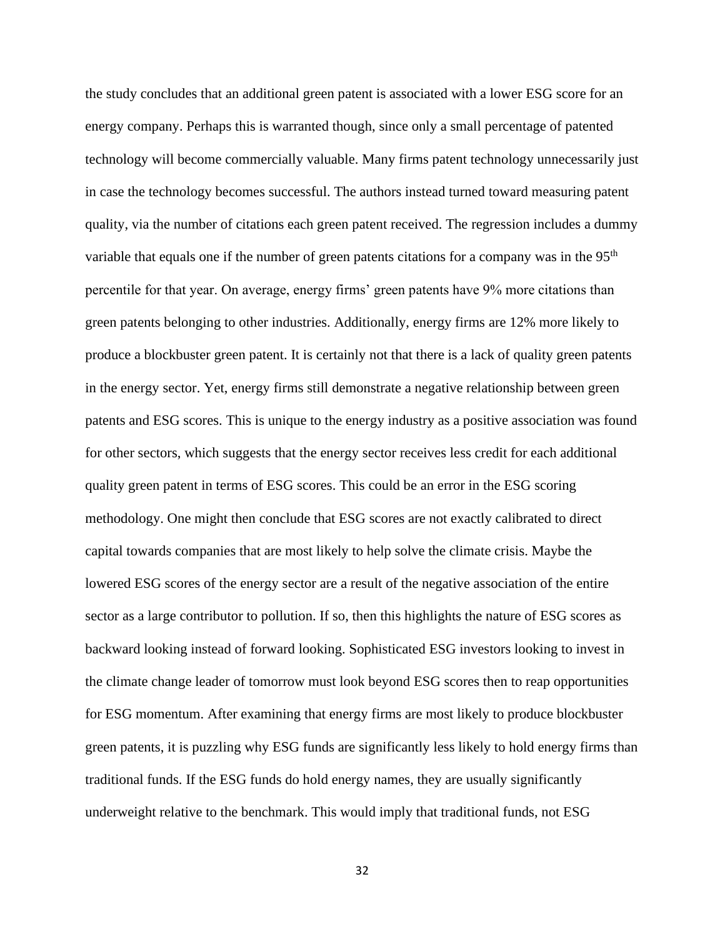the study concludes that an additional green patent is associated with a lower ESG score for an energy company. Perhaps this is warranted though, since only a small percentage of patented technology will become commercially valuable. Many firms patent technology unnecessarily just in case the technology becomes successful. The authors instead turned toward measuring patent quality, via the number of citations each green patent received. The regression includes a dummy variable that equals one if the number of green patents citations for a company was in the 95<sup>th</sup> percentile for that year. On average, energy firms' green patents have 9% more citations than green patents belonging to other industries. Additionally, energy firms are 12% more likely to produce a blockbuster green patent. It is certainly not that there is a lack of quality green patents in the energy sector. Yet, energy firms still demonstrate a negative relationship between green patents and ESG scores. This is unique to the energy industry as a positive association was found for other sectors, which suggests that the energy sector receives less credit for each additional quality green patent in terms of ESG scores. This could be an error in the ESG scoring methodology. One might then conclude that ESG scores are not exactly calibrated to direct capital towards companies that are most likely to help solve the climate crisis. Maybe the lowered ESG scores of the energy sector are a result of the negative association of the entire sector as a large contributor to pollution. If so, then this highlights the nature of ESG scores as backward looking instead of forward looking. Sophisticated ESG investors looking to invest in the climate change leader of tomorrow must look beyond ESG scores then to reap opportunities for ESG momentum. After examining that energy firms are most likely to produce blockbuster green patents, it is puzzling why ESG funds are significantly less likely to hold energy firms than traditional funds. If the ESG funds do hold energy names, they are usually significantly underweight relative to the benchmark. This would imply that traditional funds, not ESG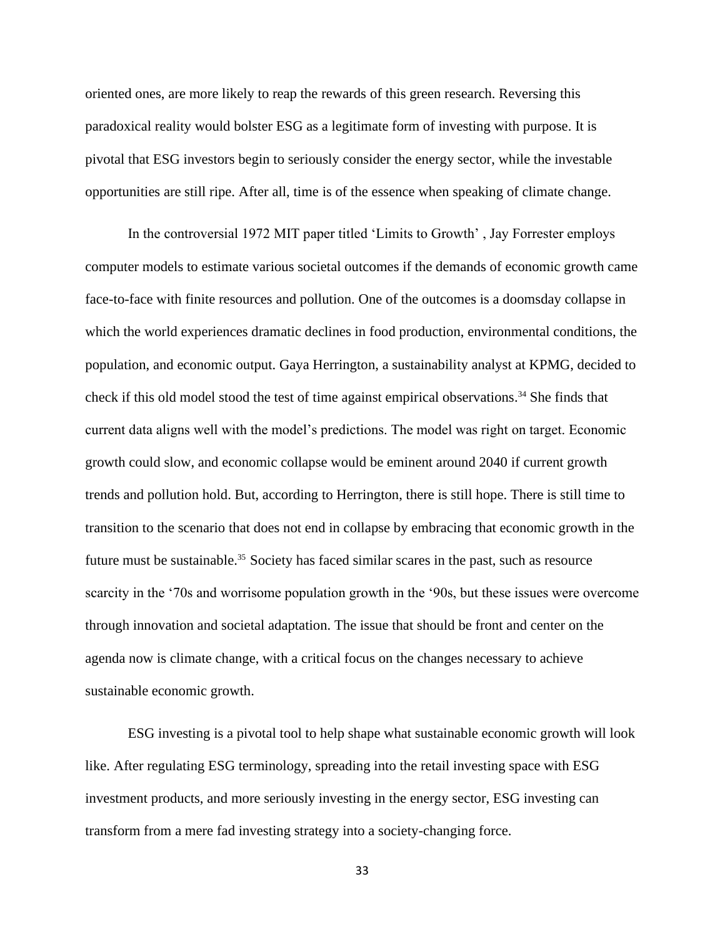oriented ones, are more likely to reap the rewards of this green research. Reversing this paradoxical reality would bolster ESG as a legitimate form of investing with purpose. It is pivotal that ESG investors begin to seriously consider the energy sector, while the investable opportunities are still ripe. After all, time is of the essence when speaking of climate change.

In the controversial 1972 MIT paper titled 'Limits to Growth' , Jay Forrester employs computer models to estimate various societal outcomes if the demands of economic growth came face-to-face with finite resources and pollution. One of the outcomes is a doomsday collapse in which the world experiences dramatic declines in food production, environmental conditions, the population, and economic output. Gaya Herrington, a sustainability analyst at KPMG, decided to check if this old model stood the test of time against empirical observations.<sup>34</sup> She finds that current data aligns well with the model's predictions. The model was right on target. Economic growth could slow, and economic collapse would be eminent around 2040 if current growth trends and pollution hold. But, according to Herrington, there is still hope. There is still time to transition to the scenario that does not end in collapse by embracing that economic growth in the future must be sustainable.<sup>35</sup> Society has faced similar scares in the past, such as resource scarcity in the '70s and worrisome population growth in the '90s, but these issues were overcome through innovation and societal adaptation. The issue that should be front and center on the agenda now is climate change, with a critical focus on the changes necessary to achieve sustainable economic growth.

ESG investing is a pivotal tool to help shape what sustainable economic growth will look like. After regulating ESG terminology, spreading into the retail investing space with ESG investment products, and more seriously investing in the energy sector, ESG investing can transform from a mere fad investing strategy into a society-changing force.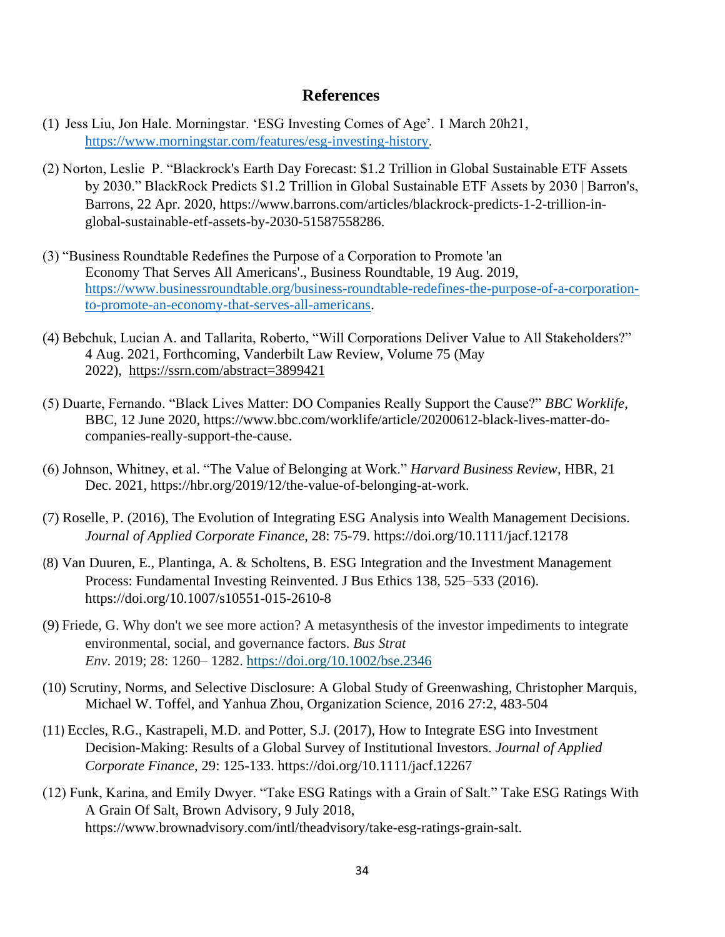## **References**

- (1) Jess Liu, Jon Hale. Morningstar. 'ESG Investing Comes of Age'. 1 March 20h21, <https://www.morningstar.com/features/esg-investing-history>.
- (2) Norton, Leslie P. "Blackrock's Earth Day Forecast: \$1.2 Trillion in Global Sustainable ETF Assets by 2030." BlackRock Predicts \$1.2 Trillion in Global Sustainable ETF Assets by 2030 | Barron's, Barrons, 22 Apr. 2020, https://www.barrons.com/articles/blackrock-predicts-1-2-trillion-inglobal-sustainable-etf-assets-by-2030-51587558286.
- (3) "Business Roundtable Redefines the Purpose of a Corporation to Promote 'an Economy That Serves All Americans'., Business Roundtable, 19 Aug. 2019, [https://www.businessroundtable.org/business-roundtable-redefines-the-purpose-of-a-corporation](https://www.businessroundtable.org/business-roundtable-redefines-the-purpose-of-a-corporation-to-promote-an-economy-that-serves-all-americans)[to-promote-an-economy-that-serves-all-americans.](https://www.businessroundtable.org/business-roundtable-redefines-the-purpose-of-a-corporation-to-promote-an-economy-that-serves-all-americans)
- (4) Bebchuk, Lucian A. and Tallarita, Roberto, "Will Corporations Deliver Value to All Stakeholders?" 4 Aug. 2021, Forthcoming, Vanderbilt Law Review, Volume 75 (May 2022), <https://ssrn.com/abstract=3899421>
- (5) Duarte, Fernando. "Black Lives Matter: DO Companies Really Support the Cause?" *BBC Worklife*, BBC, 12 June 2020, https://www.bbc.com/worklife/article/20200612-black-lives-matter-docompanies-really-support-the-cause.
- (6) Johnson, Whitney, et al. "The Value of Belonging at Work." *Harvard Business Review*, HBR, 21 Dec. 2021, https://hbr.org/2019/12/the-value-of-belonging-at-work.
- (7) Roselle, P. (2016), The Evolution of Integrating ESG Analysis into Wealth Management Decisions*. Journal of Applied Corporate Finance*, 28: 75-79. https://doi.org/10.1111/jacf.12178
- (8) Van Duuren, E., Plantinga, A. & Scholtens, B. ESG Integration and the Investment Management Process: Fundamental Investing Reinvented. J Bus Ethics 138, 525–533 (2016). https://doi.org/10.1007/s10551-015-2610-8
- (9) Friede, G. Why don't we see more action? A metasynthesis of the investor impediments to integrate environmental, social, and governance factors. *Bus Strat Env*. 2019; 28: 1260– 1282. <https://doi.org/10.1002/bse.2346>
- (10) Scrutiny, Norms, and Selective Disclosure: A Global Study of Greenwashing, Christopher Marquis, Michael W. Toffel, and Yanhua Zhou, Organization Science, 2016 27:2, 483-504
- (11) Eccles, R.G., Kastrapeli, M.D. and Potter, S.J. (2017), How to Integrate ESG into Investment Decision-Making: Results of a Global Survey of Institutional Investors. *Journal of Applied Corporate Finance*, 29: 125-133. https://doi.org/10.1111/jacf.12267
- (12) Funk, Karina, and Emily Dwyer. "Take ESG Ratings with a Grain of Salt." Take ESG Ratings With A Grain Of Salt, Brown Advisory, 9 July 2018, https://www.brownadvisory.com/intl/theadvisory/take-esg-ratings-grain-salt.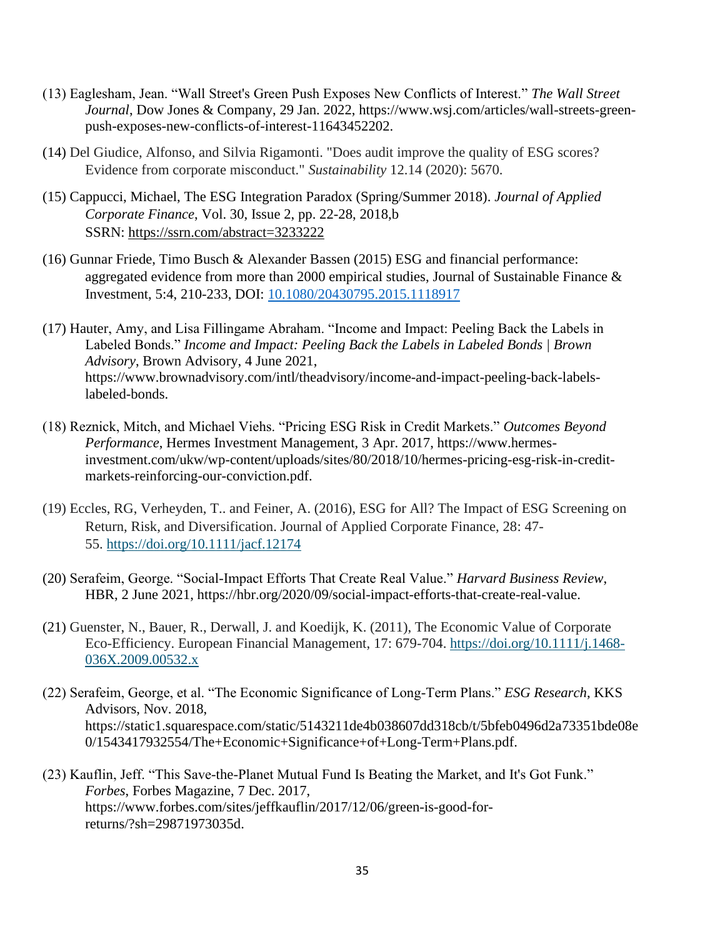- (13) Eaglesham, Jean. "Wall Street's Green Push Exposes New Conflicts of Interest." *The Wall Street Journal*, Dow Jones & Company, 29 Jan. 2022, https://www.wsj.com/articles/wall-streets-greenpush-exposes-new-conflicts-of-interest-11643452202.
- (14) Del Giudice, Alfonso, and Silvia Rigamonti. "Does audit improve the quality of ESG scores? Evidence from corporate misconduct." *Sustainability* 12.14 (2020): 5670.
- (15) Cappucci, Michael, The ESG Integration Paradox (Spring/Summer 2018). *Journal of Applied Corporate Finance*, Vol. 30, Issue 2, pp. 22-28, 2018,b SSRN: <https://ssrn.com/abstract=3233222>
- (16) Gunnar Friede, Timo Busch & Alexander Bassen (2015) ESG and financial performance: aggregated evidence from more than 2000 empirical studies, Journal of Sustainable Finance & Investment, 5:4, 210-233, DOI: [10.1080/20430795.2015.1118917](https://doi.org/10.1080/20430795.2015.1118917)
- (17) Hauter, Amy, and Lisa Fillingame Abraham. "Income and Impact: Peeling Back the Labels in Labeled Bonds." *Income and Impact: Peeling Back the Labels in Labeled Bonds | Brown Advisory*, Brown Advisory, 4 June 2021, https://www.brownadvisory.com/intl/theadvisory/income-and-impact-peeling-back-labelslabeled-bonds.
- (18) Reznick, Mitch, and Michael Viehs. "Pricing ESG Risk in Credit Markets." *Outcomes Beyond Performance*, Hermes Investment Management, 3 Apr. 2017, https://www.hermesinvestment.com/ukw/wp-content/uploads/sites/80/2018/10/hermes-pricing-esg-risk-in-creditmarkets-reinforcing-our-conviction.pdf.
- (19) Eccles, RG, Verheyden, T.. and Feiner, A. (2016), ESG for All? The Impact of ESG Screening on Return, Risk, and Diversification. Journal of Applied Corporate Finance, 28: 47- 55. <https://doi.org/10.1111/jacf.12174>
- (20) Serafeim, George. "Social-Impact Efforts That Create Real Value." *Harvard Business Review*, HBR, 2 June 2021, https://hbr.org/2020/09/social-impact-efforts-that-create-real-value.
- (21) Guenster, N., Bauer, R., Derwall, J. and Koedijk, K. (2011), The Economic Value of Corporate Eco-Efficiency. European Financial Management, 17: 679-704. [https://doi.org/10.1111/j.1468-](https://doi.org/10.1111/j.1468-036X.2009.00532.x) [036X.2009.00532.x](https://doi.org/10.1111/j.1468-036X.2009.00532.x)
- (22) Serafeim, George, et al. "The Economic Significance of Long-Term Plans." *ESG Research*, KKS Advisors, Nov. 2018, https://static1.squarespace.com/static/5143211de4b038607dd318cb/t/5bfeb0496d2a73351bde08e 0/1543417932554/The+Economic+Significance+of+Long-Term+Plans.pdf.
- (23) Kauflin, Jeff. "This Save-the-Planet Mutual Fund Is Beating the Market, and It's Got Funk." *Forbes*, Forbes Magazine, 7 Dec. 2017, https://www.forbes.com/sites/jeffkauflin/2017/12/06/green-is-good-forreturns/?sh=29871973035d.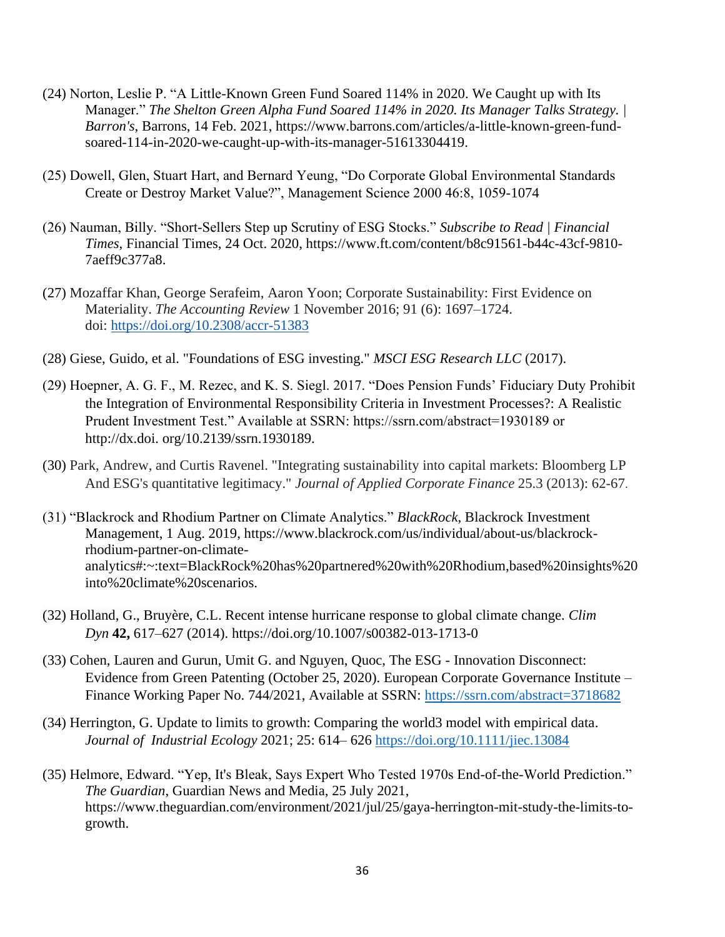- (24) Norton, Leslie P. "A Little-Known Green Fund Soared 114% in 2020. We Caught up with Its Manager." *The Shelton Green Alpha Fund Soared 114% in 2020. Its Manager Talks Strategy. | Barron's*, Barrons, 14 Feb. 2021, https://www.barrons.com/articles/a-little-known-green-fundsoared-114-in-2020-we-caught-up-with-its-manager-51613304419.
- (25) Dowell, Glen, Stuart Hart, and Bernard Yeung, "Do Corporate Global Environmental Standards Create or Destroy Market Value?", Management Science 2000 46:8, 1059-1074
- (26) Nauman, Billy. "Short-Sellers Step up Scrutiny of ESG Stocks." *Subscribe to Read | Financial Times*, Financial Times, 24 Oct. 2020, https://www.ft.com/content/b8c91561-b44c-43cf-9810- 7aeff9c377a8.
- (27) Mozaffar Khan, George Serafeim, Aaron Yoon; Corporate Sustainability: First Evidence on Materiality. *The Accounting Review* 1 November 2016; 91 (6): 1697–1724. doi: <https://doi.org/10.2308/accr-51383>
- (28) Giese, Guido, et al. "Foundations of ESG investing." *MSCI ESG Research LLC* (2017).
- (29) Hoepner, A. G. F., M. Rezec, and K. S. Siegl. 2017. "Does Pension Funds' Fiduciary Duty Prohibit the Integration of Environmental Responsibility Criteria in Investment Processes?: A Realistic Prudent Investment Test." Available at SSRN: https://ssrn.com/abstract=1930189 or http://dx.doi. org/10.2139/ssrn.1930189.
- (30) Park, Andrew, and Curtis Ravenel. "Integrating sustainability into capital markets: Bloomberg LP And ESG's quantitative legitimacy." *Journal of Applied Corporate Finance* 25.3 (2013): 62-67.
- (31) "Blackrock and Rhodium Partner on Climate Analytics." *BlackRock*, Blackrock Investment Management, 1 Aug. 2019, https://www.blackrock.com/us/individual/about-us/blackrockrhodium-partner-on-climateanalytics#:~:text=BlackRock%20has%20partnered%20with%20Rhodium,based%20insights%20 into%20climate%20scenarios.
- (32) Holland, G., Bruyère, C.L. Recent intense hurricane response to global climate change. *Clim Dyn* **42,** 617–627 (2014). https://doi.org/10.1007/s00382-013-1713-0
- (33) Cohen, Lauren and Gurun, Umit G. and Nguyen, Quoc, The ESG Innovation Disconnect: Evidence from Green Patenting (October 25, 2020). European Corporate Governance Institute – Finance Working Paper No. 744/2021, Available at SSRN: <https://ssrn.com/abstract=3718682>
- (34) Herrington, G. Update to limits to growth: Comparing the world3 model with empirical data. *Journal of Industrial Ecology* 2021; 25: 614– 626 <https://doi.org/10.1111/jiec.13084>
- (35) Helmore, Edward. "Yep, It's Bleak, Says Expert Who Tested 1970s End-of-the-World Prediction." *The Guardian*, Guardian News and Media, 25 July 2021, https://www.theguardian.com/environment/2021/jul/25/gaya-herrington-mit-study-the-limits-togrowth.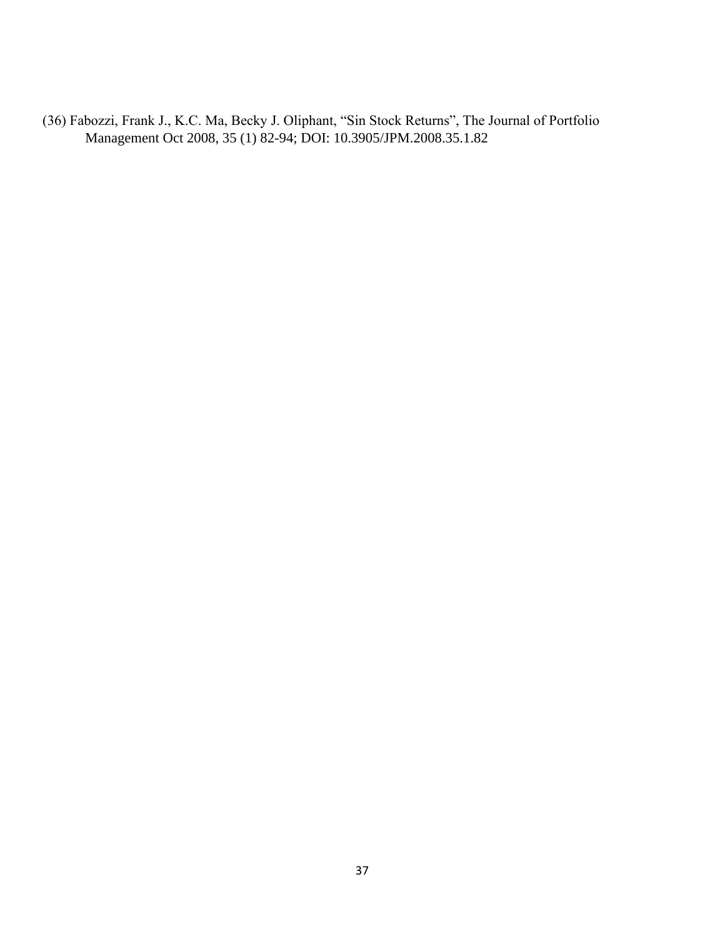(36) Fabozzi, Frank J., K.C. Ma, Becky J. Oliphant, "Sin Stock Returns", The Journal of Portfolio Management Oct 2008, 35 (1) 82-94; DOI: 10.3905/JPM.2008.35.1.82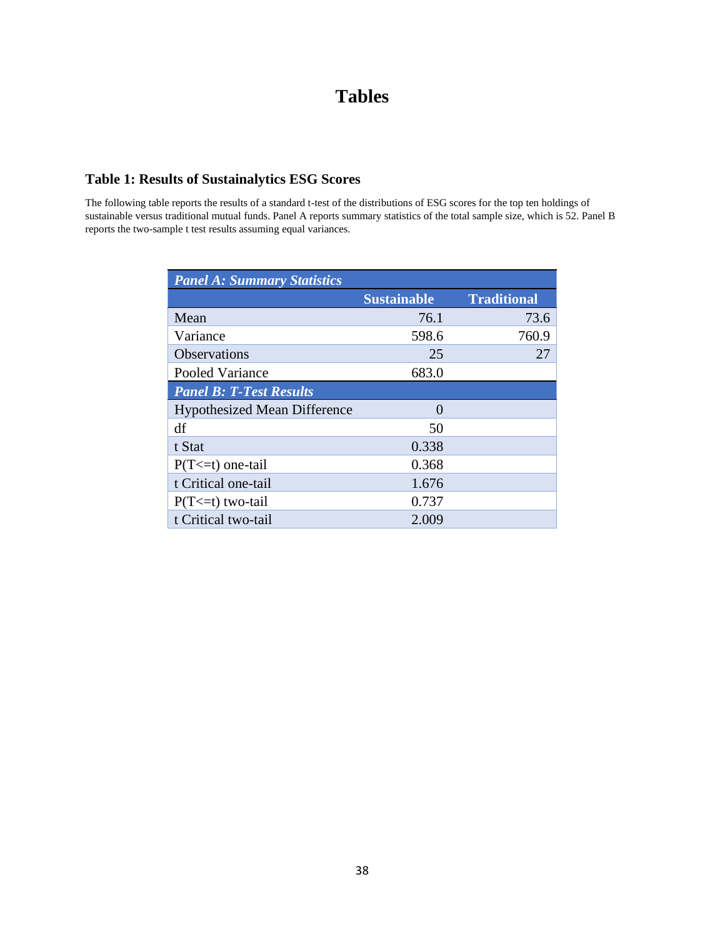# **Tables**

# **Table 1: Results of Sustainalytics ESG Scores**

The following table reports the results of a standard t-test of the distributions of ESG scores for the top ten holdings of sustainable versus traditional mutual funds. Panel A reports summary statistics of the total sample size, which is 52. Panel B reports the two-sample t test results assuming equal variances.

| <b>Panel A: Summary Statistics</b>  |                    |                    |  |  |  |
|-------------------------------------|--------------------|--------------------|--|--|--|
|                                     | <b>Sustainable</b> | <b>Traditional</b> |  |  |  |
| Mean                                | 76.1               | 73.6               |  |  |  |
| Variance                            | 598.6              | 760.9              |  |  |  |
| <b>Observations</b>                 | 25                 | 27                 |  |  |  |
| Pooled Variance                     | 683.0              |                    |  |  |  |
| <b>Panel B: T-Test Results</b>      |                    |                    |  |  |  |
| <b>Hypothesized Mean Difference</b> | $\Omega$           |                    |  |  |  |
| df                                  | 50                 |                    |  |  |  |
| t Stat                              | 0.338              |                    |  |  |  |
| $P(T \le t)$ one-tail               | 0.368              |                    |  |  |  |
| t Critical one-tail                 | 1.676              |                    |  |  |  |
| $P(T \le t)$ two-tail               | 0.737              |                    |  |  |  |
| t Critical two-tail                 | 2.009              |                    |  |  |  |